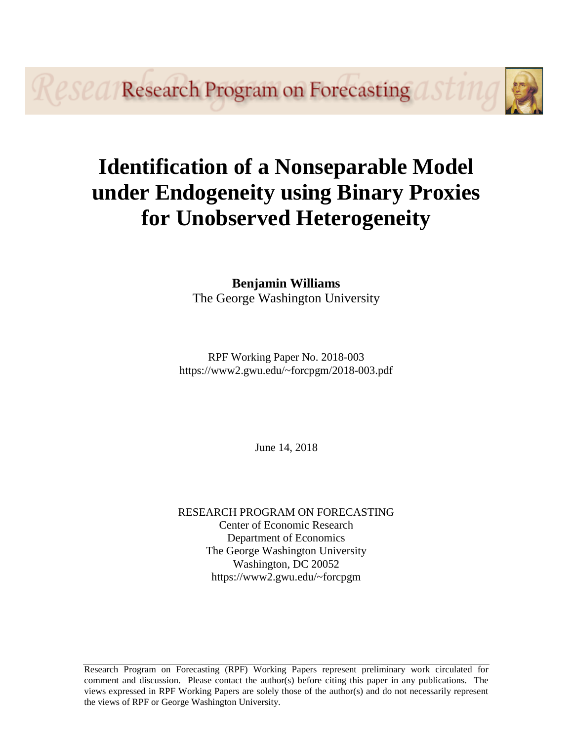*PSPA* Research Program on Forecasting

# **Identification of a Nonseparable Model under Endogeneity using Binary Proxies for Unobserved Heterogeneity**

## **Benjamin Williams** The George Washington University

RPF Working Paper No. 2018-003 https://www2.gwu.edu/~forcpgm/2018-003.pdf

June 14, 2018

RESEARCH PROGRAM ON FORECASTING Center of Economic Research Department of Economics The George Washington University Washington, DC 20052 https://www2.gwu.edu/~forcpgm

Research Program on Forecasting (RPF) Working Papers represent preliminary work circulated for comment and discussion. Please contact the author(s) before citing this paper in any publications. The views expressed in RPF Working Papers are solely those of the author(s) and do not necessarily represent the views of RPF or George Washington University.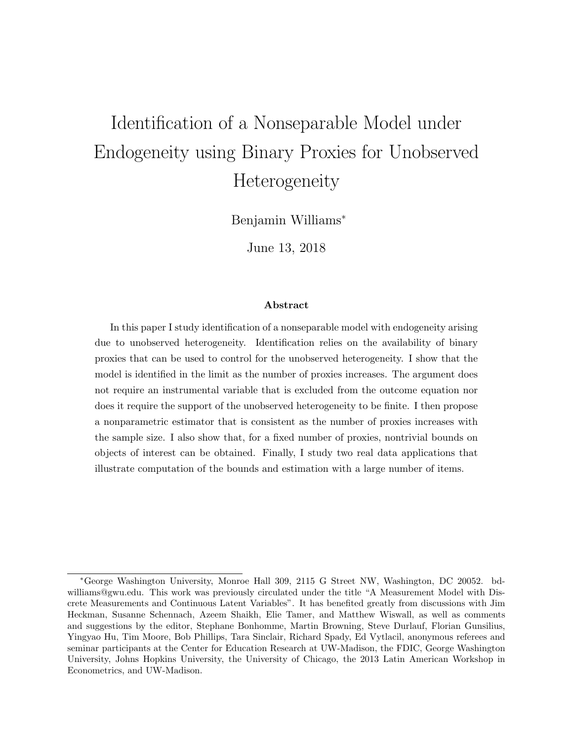# Identification of a Nonseparable Model under Endogeneity using Binary Proxies for Unobserved Heterogeneity

Benjamin Williams<sup>∗</sup>

June 13, 2018

#### Abstract

In this paper I study identification of a nonseparable model with endogeneity arising due to unobserved heterogeneity. Identification relies on the availability of binary proxies that can be used to control for the unobserved heterogeneity. I show that the model is identified in the limit as the number of proxies increases. The argument does not require an instrumental variable that is excluded from the outcome equation nor does it require the support of the unobserved heterogeneity to be finite. I then propose a nonparametric estimator that is consistent as the number of proxies increases with the sample size. I also show that, for a fixed number of proxies, nontrivial bounds on objects of interest can be obtained. Finally, I study two real data applications that illustrate computation of the bounds and estimation with a large number of items.

<sup>∗</sup>George Washington University, Monroe Hall 309, 2115 G Street NW, Washington, DC 20052. bdwilliams@gwu.edu. This work was previously circulated under the title "A Measurement Model with Discrete Measurements and Continuous Latent Variables". It has benefited greatly from discussions with Jim Heckman, Susanne Schennach, Azeem Shaikh, Elie Tamer, and Matthew Wiswall, as well as comments and suggestions by the editor, Stephane Bonhomme, Martin Browning, Steve Durlauf, Florian Gunsilius, Yingyao Hu, Tim Moore, Bob Phillips, Tara Sinclair, Richard Spady, Ed Vytlacil, anonymous referees and seminar participants at the Center for Education Research at UW-Madison, the FDIC, George Washington University, Johns Hopkins University, the University of Chicago, the 2013 Latin American Workshop in Econometrics, and UW-Madison.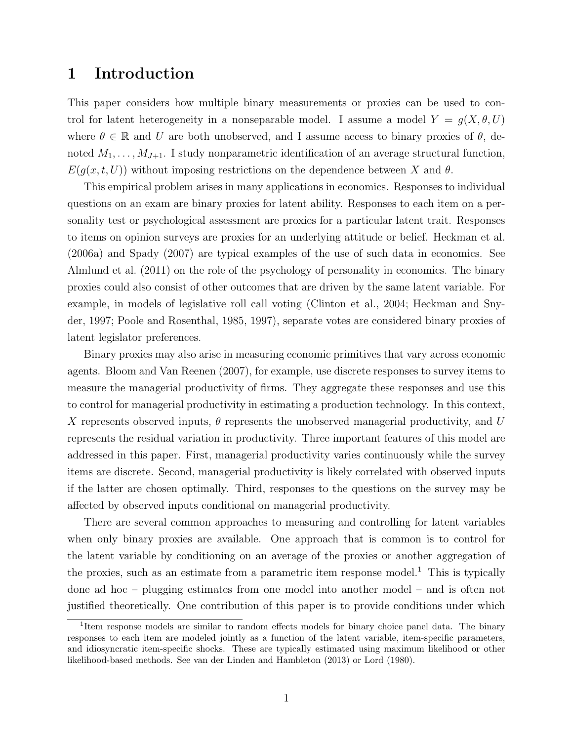# 1 Introduction

This paper considers how multiple binary measurements or proxies can be used to control for latent heterogeneity in a nonseparable model. I assume a model  $Y = g(X, \theta, U)$ where  $\theta \in \mathbb{R}$  and U are both unobserved, and I assume access to binary proxies of  $\theta$ , denoted  $M_1, \ldots, M_{J+1}$ . I study nonparametric identification of an average structural function,  $E(g(x, t, U))$  without imposing restrictions on the dependence between X and  $\theta$ .

This empirical problem arises in many applications in economics. Responses to individual questions on an exam are binary proxies for latent ability. Responses to each item on a personality test or psychological assessment are proxies for a particular latent trait. Responses to items on opinion surveys are proxies for an underlying attitude or belief. Heckman et al. (2006a) and Spady (2007) are typical examples of the use of such data in economics. See Almlund et al. (2011) on the role of the psychology of personality in economics. The binary proxies could also consist of other outcomes that are driven by the same latent variable. For example, in models of legislative roll call voting (Clinton et al., 2004; Heckman and Snyder, 1997; Poole and Rosenthal, 1985, 1997), separate votes are considered binary proxies of latent legislator preferences.

Binary proxies may also arise in measuring economic primitives that vary across economic agents. Bloom and Van Reenen (2007), for example, use discrete responses to survey items to measure the managerial productivity of firms. They aggregate these responses and use this to control for managerial productivity in estimating a production technology. In this context, X represents observed inputs,  $\theta$  represents the unobserved managerial productivity, and U represents the residual variation in productivity. Three important features of this model are addressed in this paper. First, managerial productivity varies continuously while the survey items are discrete. Second, managerial productivity is likely correlated with observed inputs if the latter are chosen optimally. Third, responses to the questions on the survey may be affected by observed inputs conditional on managerial productivity.

There are several common approaches to measuring and controlling for latent variables when only binary proxies are available. One approach that is common is to control for the latent variable by conditioning on an average of the proxies or another aggregation of the proxies, such as an estimate from a parametric item response model.<sup>1</sup> This is typically done ad hoc – plugging estimates from one model into another model – and is often not justified theoretically. One contribution of this paper is to provide conditions under which

<sup>&</sup>lt;sup>1</sup>Item response models are similar to random effects models for binary choice panel data. The binary responses to each item are modeled jointly as a function of the latent variable, item-specific parameters, and idiosyncratic item-specific shocks. These are typically estimated using maximum likelihood or other likelihood-based methods. See van der Linden and Hambleton (2013) or Lord (1980).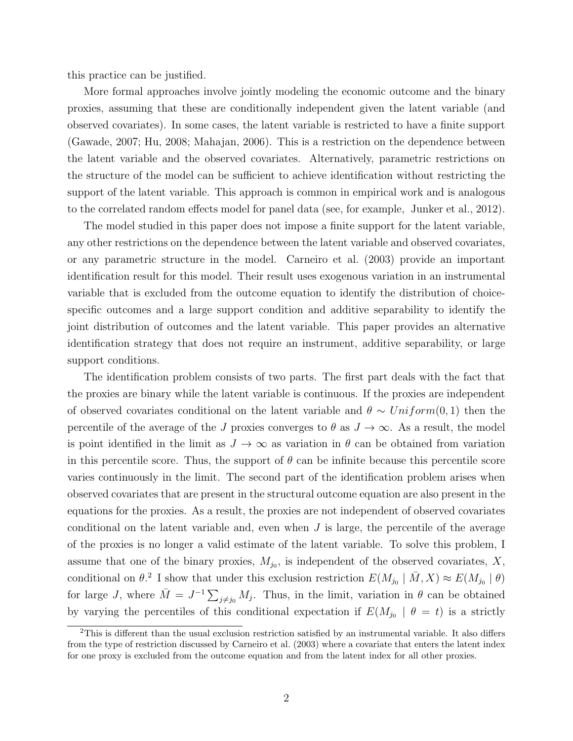this practice can be justified.

More formal approaches involve jointly modeling the economic outcome and the binary proxies, assuming that these are conditionally independent given the latent variable (and observed covariates). In some cases, the latent variable is restricted to have a finite support (Gawade, 2007; Hu, 2008; Mahajan, 2006). This is a restriction on the dependence between the latent variable and the observed covariates. Alternatively, parametric restrictions on the structure of the model can be sufficient to achieve identification without restricting the support of the latent variable. This approach is common in empirical work and is analogous to the correlated random effects model for panel data (see, for example, Junker et al., 2012).

The model studied in this paper does not impose a finite support for the latent variable, any other restrictions on the dependence between the latent variable and observed covariates, or any parametric structure in the model. Carneiro et al. (2003) provide an important identification result for this model. Their result uses exogenous variation in an instrumental variable that is excluded from the outcome equation to identify the distribution of choicespecific outcomes and a large support condition and additive separability to identify the joint distribution of outcomes and the latent variable. This paper provides an alternative identification strategy that does not require an instrument, additive separability, or large support conditions.

The identification problem consists of two parts. The first part deals with the fact that the proxies are binary while the latent variable is continuous. If the proxies are independent of observed covariates conditional on the latent variable and  $\theta \sim Uniform(0, 1)$  then the percentile of the average of the J proxies converges to  $\theta$  as  $J \to \infty$ . As a result, the model is point identified in the limit as  $J \to \infty$  as variation in  $\theta$  can be obtained from variation in this percentile score. Thus, the support of  $\theta$  can be infinite because this percentile score varies continuously in the limit. The second part of the identification problem arises when observed covariates that are present in the structural outcome equation are also present in the equations for the proxies. As a result, the proxies are not independent of observed covariates conditional on the latent variable and, even when  $J$  is large, the percentile of the average of the proxies is no longer a valid estimate of the latent variable. To solve this problem, I assume that one of the binary proxies,  $M_{j_0}$ , is independent of the observed covariates,  $X$ , conditional on  $\theta$ <sup>2</sup>. I show that under this exclusion restriction  $E(M_{j_0} | \bar{M}, X) \approx E(M_{j_0} | \theta)$ for large J, where  $\overline{M} = J^{-1} \sum_{j \neq j_0} M_j$ . Thus, in the limit, variation in  $\theta$  can be obtained by varying the percentiles of this conditional expectation if  $E(M_{j_0} \mid \theta = t)$  is a strictly

 $2$ This is different than the usual exclusion restriction satisfied by an instrumental variable. It also differs from the type of restriction discussed by Carneiro et al. (2003) where a covariate that enters the latent index for one proxy is excluded from the outcome equation and from the latent index for all other proxies.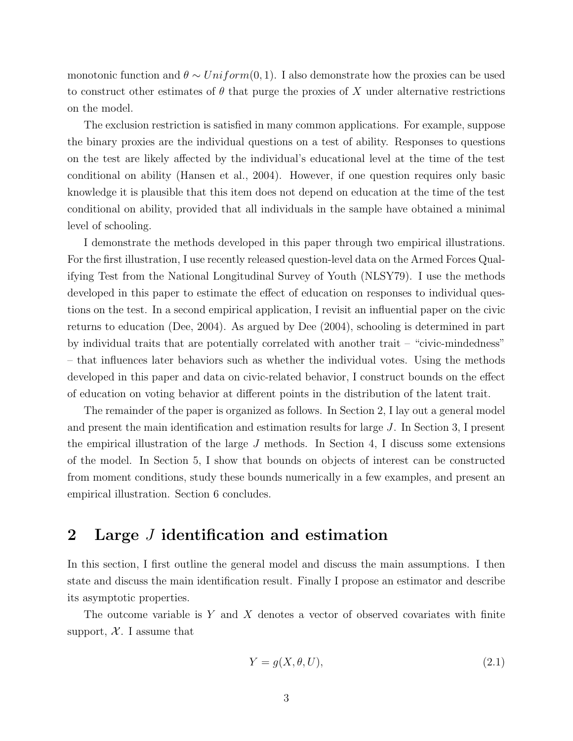monotonic function and  $\theta \sim Uniform(0, 1)$ . I also demonstrate how the proxies can be used to construct other estimates of  $\theta$  that purge the proxies of X under alternative restrictions on the model.

The exclusion restriction is satisfied in many common applications. For example, suppose the binary proxies are the individual questions on a test of ability. Responses to questions on the test are likely affected by the individual's educational level at the time of the test conditional on ability (Hansen et al., 2004). However, if one question requires only basic knowledge it is plausible that this item does not depend on education at the time of the test conditional on ability, provided that all individuals in the sample have obtained a minimal level of schooling.

I demonstrate the methods developed in this paper through two empirical illustrations. For the first illustration, I use recently released question-level data on the Armed Forces Qualifying Test from the National Longitudinal Survey of Youth (NLSY79). I use the methods developed in this paper to estimate the effect of education on responses to individual questions on the test. In a second empirical application, I revisit an influential paper on the civic returns to education (Dee, 2004). As argued by Dee (2004), schooling is determined in part by individual traits that are potentially correlated with another trait – "civic-mindedness" – that influences later behaviors such as whether the individual votes. Using the methods developed in this paper and data on civic-related behavior, I construct bounds on the effect of education on voting behavior at different points in the distribution of the latent trait.

The remainder of the paper is organized as follows. In Section 2, I lay out a general model and present the main identification and estimation results for large J. In Section 3, I present the empirical illustration of the large  $J$  methods. In Section 4, I discuss some extensions of the model. In Section 5, I show that bounds on objects of interest can be constructed from moment conditions, study these bounds numerically in a few examples, and present an empirical illustration. Section 6 concludes.

# 2 Large J identification and estimation

In this section, I first outline the general model and discuss the main assumptions. I then state and discuss the main identification result. Finally I propose an estimator and describe its asymptotic properties.

The outcome variable is Y and X denotes a vector of observed covariates with finite support,  $X$ . I assume that

$$
Y = g(X, \theta, U),\tag{2.1}
$$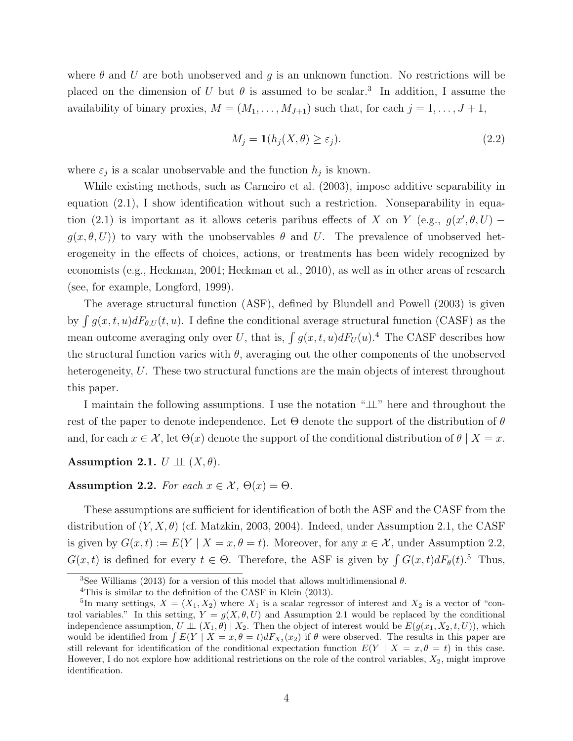where  $\theta$  and U are both unobserved and g is an unknown function. No restrictions will be placed on the dimension of U but  $\theta$  is assumed to be scalar.<sup>3</sup> In addition, I assume the availability of binary proxies,  $M = (M_1, \ldots, M_{J+1})$  such that, for each  $j = 1, \ldots, J+1$ ,

$$
M_j = \mathbf{1}(h_j(X, \theta) \ge \varepsilon_j). \tag{2.2}
$$

where  $\varepsilon_j$  is a scalar unobservable and the function  $h_j$  is known.

While existing methods, such as Carneiro et al. (2003), impose additive separability in equation (2.1), I show identification without such a restriction. Nonseparability in equation (2.1) is important as it allows ceteris paribus effects of X on Y (e.g.,  $g(x', \theta, U)$  –  $g(x, \theta, U)$  to vary with the unobservables  $\theta$  and U. The prevalence of unobserved heterogeneity in the effects of choices, actions, or treatments has been widely recognized by economists (e.g., Heckman, 2001; Heckman et al., 2010), as well as in other areas of research (see, for example, Longford, 1999).

The average structural function (ASF), defined by Blundell and Powell (2003) is given by  $\int g(x, t, u)dF_{\theta, U}(t, u)$ . I define the conditional average structural function (CASF) as the mean outcome averaging only over U, that is,  $\int g(x, t, u) dF_U(u)$ .<sup>4</sup> The CASF describes how the structural function varies with  $\theta$ , averaging out the other components of the unobserved heterogeneity, U. These two structural functions are the main objects of interest throughout this paper.

I maintain the following assumptions. I use the notation "⊥⊥" here and throughout the rest of the paper to denote independence. Let  $\Theta$  denote the support of the distribution of  $\theta$ and, for each  $x \in \mathcal{X}$ , let  $\Theta(x)$  denote the support of the conditional distribution of  $\theta \mid X = x$ .

#### Assumption 2.1.  $U \perp \!\!\! \perp (X, \theta)$ .

Assumption 2.2. For each  $x \in \mathcal{X}$ ,  $\Theta(x) = \Theta$ .

These assumptions are sufficient for identification of both the ASF and the CASF from the distribution of  $(Y, X, \theta)$  (cf. Matzkin, 2003, 2004). Indeed, under Assumption 2.1, the CASF is given by  $G(x, t) := E(Y | X = x, \theta = t)$ . Moreover, for any  $x \in \mathcal{X}$ , under Assumption 2.2,  $G(x,t)$  is defined for every  $t \in \Theta$ . Therefore, the ASF is given by  $\int G(x,t) dF_{\theta}(t)$ .<sup>5</sup> Thus,

<sup>&</sup>lt;sup>3</sup>See Williams (2013) for a version of this model that allows multidimensional  $\theta$ .

<sup>4</sup>This is similar to the definition of the CASF in Klein (2013).

<sup>&</sup>lt;sup>5</sup>In many settings,  $X = (X_1, X_2)$  where  $X_1$  is a scalar regressor of interest and  $X_2$  is a vector of "control variables." In this setting,  $Y = g(X, \theta, U)$  and Assumption 2.1 would be replaced by the conditional independence assumption,  $U \perp \!\!\!\perp (X_1, \theta) \mid X_2$ . Then the object of interest would be  $E(g(x_1, X_2, t, U))$ , which would be identified from  $\int E(Y | X = x, \theta = t) dF_{X_2}(x_2)$  if  $\theta$  were observed. The results in this paper are still relevant for identification of the conditional expectation function  $E(Y | X = x, \theta = t)$  in this case. However, I do not explore how additional restrictions on the role of the control variables,  $X_2$ , might improve identification.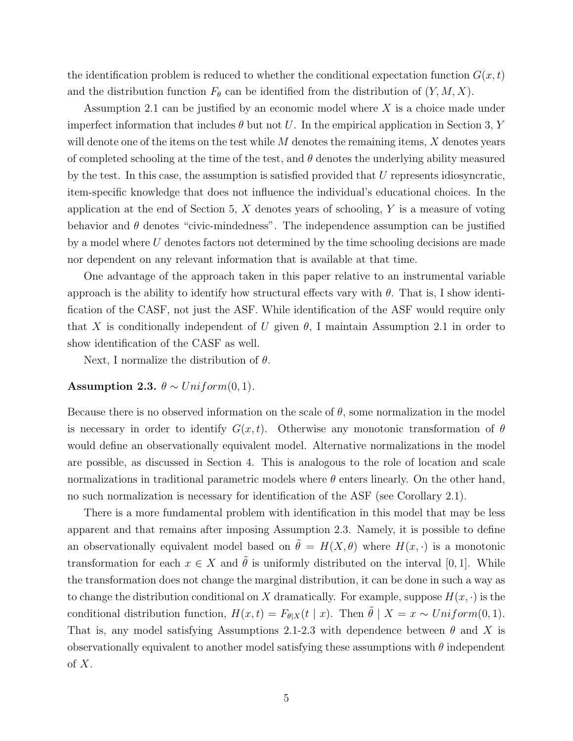the identification problem is reduced to whether the conditional expectation function  $G(x, t)$ and the distribution function  $F_{\theta}$  can be identified from the distribution of  $(Y, M, X)$ .

Assumption 2.1 can be justified by an economic model where  $X$  is a choice made under imperfect information that includes  $\theta$  but not U. In the empirical application in Section 3, Y will denote one of the items on the test while  $M$  denotes the remaining items,  $X$  denotes years of completed schooling at the time of the test, and  $\theta$  denotes the underlying ability measured by the test. In this case, the assumption is satisfied provided that  $U$  represents idiosyncratic, item-specific knowledge that does not influence the individual's educational choices. In the application at the end of Section 5,  $X$  denotes years of schooling,  $Y$  is a measure of voting behavior and  $\theta$  denotes "civic-mindedness". The independence assumption can be justified by a model where  $U$  denotes factors not determined by the time schooling decisions are made nor dependent on any relevant information that is available at that time.

One advantage of the approach taken in this paper relative to an instrumental variable approach is the ability to identify how structural effects vary with  $\theta$ . That is, I show identification of the CASF, not just the ASF. While identification of the ASF would require only that X is conditionally independent of U given  $\theta$ , I maintain Assumption 2.1 in order to show identification of the CASF as well.

Next, I normalize the distribution of  $\theta$ .

#### Assumption 2.3.  $\theta \sim Uniform(0, 1)$ .

Because there is no observed information on the scale of  $\theta$ , some normalization in the model is necessary in order to identify  $G(x, t)$ . Otherwise any monotonic transformation of  $\theta$ would define an observationally equivalent model. Alternative normalizations in the model are possible, as discussed in Section 4. This is analogous to the role of location and scale normalizations in traditional parametric models where  $\theta$  enters linearly. On the other hand, no such normalization is necessary for identification of the ASF (see Corollary 2.1).

There is a more fundamental problem with identification in this model that may be less apparent and that remains after imposing Assumption 2.3. Namely, it is possible to define an observationally equivalent model based on  $\tilde{\theta} = H(X, \theta)$  where  $H(x, \cdot)$  is a monotonic transformation for each  $x \in X$  and  $\hat{\theta}$  is uniformly distributed on the interval [0, 1]. While the transformation does not change the marginal distribution, it can be done in such a way as to change the distribution conditional on X dramatically. For example, suppose  $H(x, \cdot)$  is the conditional distribution function,  $H(x,t) = F_{\theta|X}(t | x)$ . Then  $\tilde{\theta} | X = x \sim Uniform(0, 1)$ . That is, any model satisfying Assumptions 2.1-2.3 with dependence between  $\theta$  and X is observationally equivalent to another model satisfying these assumptions with  $\theta$  independent of  $X$ .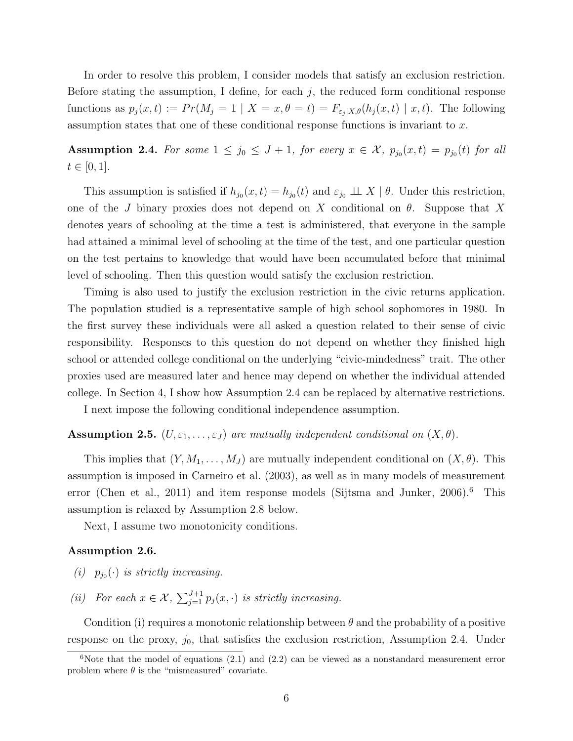In order to resolve this problem, I consider models that satisfy an exclusion restriction. Before stating the assumption, I define, for each  $j$ , the reduced form conditional response functions as  $p_j(x,t) := Pr(M_j = 1 | X = x, \theta = t) = F_{\varepsilon_j | X, \theta}(h_j(x,t) | x, t)$ . The following assumption states that one of these conditional response functions is invariant to  $x$ .

**Assumption 2.4.** For some  $1 \leq j_0 \leq J+1$ , for every  $x \in \mathcal{X}$ ,  $p_{j_0}(x,t) = p_{j_0}(t)$  for all  $t \in [0, 1].$ 

This assumption is satisfied if  $h_{j_0}(x,t) = h_{j_0}(t)$  and  $\varepsilon_{j_0} \perp \perp X \mid \theta$ . Under this restriction, one of the J binary proxies does not depend on X conditional on  $\theta$ . Suppose that X denotes years of schooling at the time a test is administered, that everyone in the sample had attained a minimal level of schooling at the time of the test, and one particular question on the test pertains to knowledge that would have been accumulated before that minimal level of schooling. Then this question would satisfy the exclusion restriction.

Timing is also used to justify the exclusion restriction in the civic returns application. The population studied is a representative sample of high school sophomores in 1980. In the first survey these individuals were all asked a question related to their sense of civic responsibility. Responses to this question do not depend on whether they finished high school or attended college conditional on the underlying "civic-mindedness" trait. The other proxies used are measured later and hence may depend on whether the individual attended college. In Section 4, I show how Assumption 2.4 can be replaced by alternative restrictions.

I next impose the following conditional independence assumption.

## **Assumption 2.5.**  $(U, \varepsilon_1, \ldots, \varepsilon_J)$  are mutually independent conditional on  $(X, \theta)$ .

This implies that  $(Y, M_1, \ldots, M_J)$  are mutually independent conditional on  $(X, \theta)$ . This assumption is imposed in Carneiro et al. (2003), as well as in many models of measurement error (Chen et al., 2011) and item response models (Sijtsma and Junker, 2006).<sup>6</sup> This assumption is relaxed by Assumption 2.8 below.

Next, I assume two monotonicity conditions.

#### Assumption 2.6.

- (i)  $p_{j_0}(\cdot)$  is strictly increasing.
- (ii) For each  $x \in \mathcal{X}$ ,  $\sum_{j=1}^{J+1} p_j(x, \cdot)$  is strictly increasing.

Condition (i) requires a monotonic relationship between  $\theta$  and the probability of a positive response on the proxy,  $j_0$ , that satisfies the exclusion restriction, Assumption 2.4. Under

 $6$ Note that the model of equations (2.1) and (2.2) can be viewed as a nonstandard measurement error problem where  $\theta$  is the "mismeasured" covariate.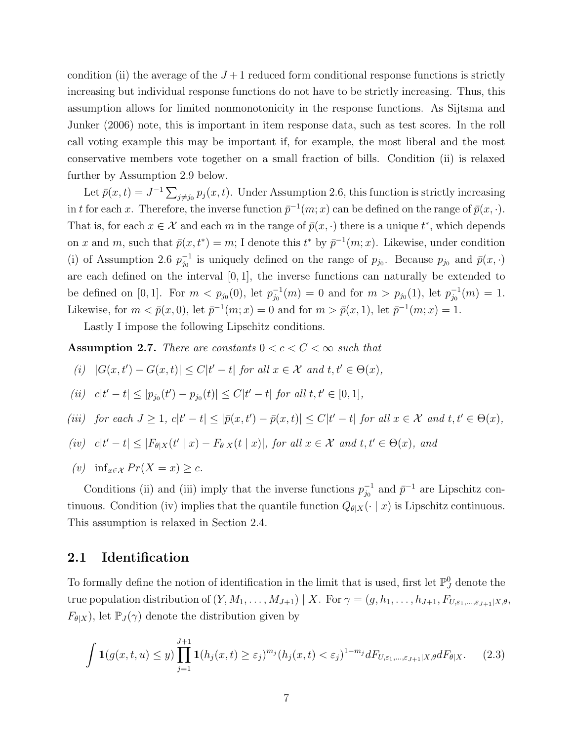condition (ii) the average of the  $J+1$  reduced form conditional response functions is strictly increasing but individual response functions do not have to be strictly increasing. Thus, this assumption allows for limited nonmonotonicity in the response functions. As Sijtsma and Junker (2006) note, this is important in item response data, such as test scores. In the roll call voting example this may be important if, for example, the most liberal and the most conservative members vote together on a small fraction of bills. Condition (ii) is relaxed further by Assumption 2.9 below.

Let  $\bar{p}(x,t) = J^{-1} \sum_{j \neq j_0} p_j(x,t)$ . Under Assumption 2.6, this function is strictly increasing in t for each x. Therefore, the inverse function  $\bar{p}^{-1}(m; x)$  can be defined on the range of  $\bar{p}(x, \cdot)$ . That is, for each  $x \in \mathcal{X}$  and each m in the range of  $\bar{p}(x, \cdot)$  there is a unique  $t^*$ , which depends on x and m, such that  $\bar{p}(x,t^*) = m$ ; I denote this  $t^*$  by  $\bar{p}^{-1}(m;x)$ . Likewise, under condition (i) of Assumption 2.6  $p_{i_0}^{-1}$  $j_0^{-1}$  is uniquely defined on the range of  $p_{j_0}$ . Because  $p_{j_0}$  and  $\bar{p}(x, \cdot)$ are each defined on the interval  $[0, 1]$ , the inverse functions can naturally be extended to be defined on [0, 1]. For  $m < p_{j_0}(0)$ , let  $p_{j_0}^{-1}$  $j_0^{-1}(m) = 0$  and for  $m > p_{j_0}(1)$ , let  $p_{j_0}^{-1}$  $j_0^{-1}(m) = 1.$ Likewise, for  $m < \bar{p}(x, 0)$ , let  $\bar{p}^{-1}(m; x) = 0$  and for  $m > \bar{p}(x, 1)$ , let  $\bar{p}^{-1}(m; x) = 1$ .

Lastly I impose the following Lipschitz conditions.

**Assumption 2.7.** There are constants  $0 < c < C < \infty$  such that

(i) 
$$
|G(x,t') - G(x,t)| \leq C|t'-t|
$$
 for all  $x \in \mathcal{X}$  and  $t, t' \in \Theta(x)$ ,

(ii) 
$$
c|t'-t| \le |p_{j_0}(t') - p_{j_0}(t)| \le C|t'-t|
$$
 for all  $t, t' \in [0, 1]$ ,

(iii) for each  $J \geq 1$ ,  $c|t'-t| \leq |\bar{p}(x,t') - \bar{p}(x,t)| \leq C|t'-t|$  for all  $x \in \mathcal{X}$  and  $t, t' \in \Theta(x)$ ,

$$
(iv)
$$
  $c|t'-t| \leq |F_{\theta|X}(t'|x) - F_{\theta|X}(t|x)|$ , for all  $x \in \mathcal{X}$  and  $t, t' \in \Theta(x)$ , and

(v) inf<sub> $x \in \mathcal{X}$ </sub>  $Pr(X = x) \geq c$ .

Conditions (ii) and (iii) imply that the inverse functions  $p_{i_0}^{-1}$  $_{j_0}^{-1}$  and  $\bar{p}^{-1}$  are Lipschitz continuous. Condition (iv) implies that the quantile function  $Q_{\theta|X}(\cdot | x)$  is Lipschitz continuous. This assumption is relaxed in Section 2.4.

### 2.1 Identification

To formally define the notion of identification in the limit that is used, first let  $\mathbb{P}_{J}^{0}$  denote the true population distribution of  $(Y, M_1, \ldots, M_{J+1}) \mid X$ . For  $\gamma = (g, h_1, \ldots, h_{J+1}, F_{U,\varepsilon_1,\ldots,\varepsilon_{J+1}|X,\theta},$  $F_{\theta|X}$ ), let  $\mathbb{P}_J(\gamma)$  denote the distribution given by

$$
\int \mathbf{1}(g(x,t,u) \le y) \prod_{j=1}^{J+1} \mathbf{1}(h_j(x,t) \ge \varepsilon_j)^{m_j} (h_j(x,t) < \varepsilon_j)^{1-m_j} dF_{U,\varepsilon_1,\dots,\varepsilon_{J+1}|X,\theta} dF_{\theta|X}.\tag{2.3}
$$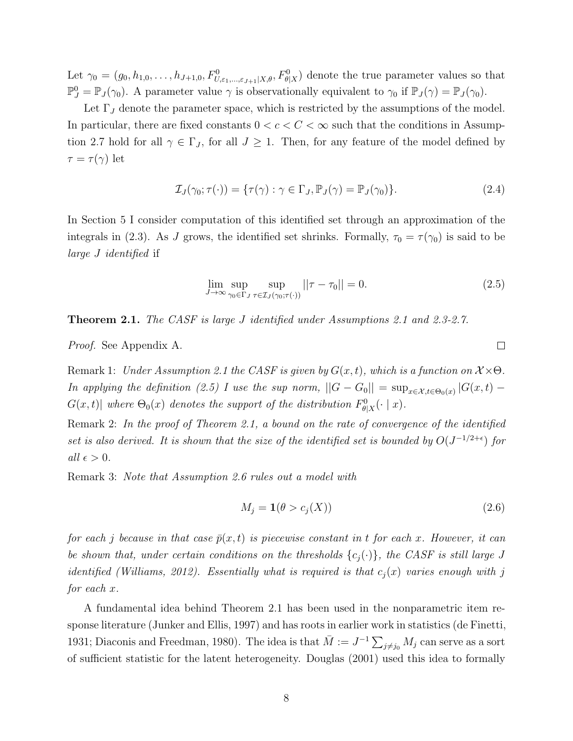Let  $\gamma_0 = (g_0, h_{1,0}, \ldots, h_{J+1,0}, F^0_{U,\varepsilon_1,\ldots,\varepsilon_{J+1}|X,\theta}, F^0_{\theta|X})$  denote the true parameter values so that  $\mathbb{P}_{J}^{0} = \mathbb{P}_{J}(\gamma_{0}).$  A parameter value  $\gamma$  is observationally equivalent to  $\gamma_{0}$  if  $\mathbb{P}_{J}(\gamma) = \mathbb{P}_{J}(\gamma_{0}).$ 

Let  $\Gamma_J$  denote the parameter space, which is restricted by the assumptions of the model. In particular, there are fixed constants  $0 < c < C < \infty$  such that the conditions in Assumption 2.7 hold for all  $\gamma \in \Gamma_J$ , for all  $J \geq 1$ . Then, for any feature of the model defined by  $\tau = \tau(\gamma)$  let

$$
\mathcal{I}_J(\gamma_0; \tau(\cdot)) = \{ \tau(\gamma) : \gamma \in \Gamma_J, \mathbb{P}_J(\gamma) = \mathbb{P}_J(\gamma_0) \}. \tag{2.4}
$$

In Section 5 I consider computation of this identified set through an approximation of the integrals in (2.3). As J grows, the identified set shrinks. Formally,  $\tau_0 = \tau(\gamma_0)$  is said to be large J identified if

$$
\lim_{J \to \infty} \sup_{\gamma_0 \in \Gamma_J} \sup_{\tau \in \mathcal{I}_J(\gamma_0; \tau(\cdot))} ||\tau - \tau_0|| = 0.
$$
\n(2.5)

Theorem 2.1. The CASF is large J identified under Assumptions 2.1 and 2.3-2.7.

Proof. See Appendix A.

Remark 1: Under Assumption 2.1 the CASF is given by  $G(x, t)$ , which is a function on  $\mathcal{X} \times \Theta$ . In applying the definition (2.5) I use the sup norm,  $||G - G_0|| = \sup_{x \in \mathcal{X}, t \in \Theta_0(x)} |G(x, t) G(x,t)$  where  $\Theta_0(x)$  denotes the support of the distribution  $F^0_{\theta|X}(\cdot | x)$ .

Remark 2: In the proof of Theorem 2.1, a bound on the rate of convergence of the identified set is also derived. It is shown that the size of the identified set is bounded by  $O(J^{-1/2+\epsilon})$  for all  $\epsilon > 0$ .

Remark 3: Note that Assumption 2.6 rules out a model with

$$
M_j = \mathbf{1}(\theta > c_j(X))\tag{2.6}
$$

for each j because in that case  $\bar{p}(x,t)$  is piecewise constant in t for each x. However, it can be shown that, under certain conditions on the thresholds  $\{c_i(\cdot)\}\$ , the CASF is still large J identified (Williams, 2012). Essentially what is required is that  $c_i(x)$  varies enough with j for each x.

A fundamental idea behind Theorem 2.1 has been used in the nonparametric item response literature (Junker and Ellis, 1997) and has roots in earlier work in statistics (de Finetti, 1931; Diaconis and Freedman, 1980). The idea is that  $\bar{M} := J^{-1} \sum_{j \neq j_0} M_j$  can serve as a sort of sufficient statistic for the latent heterogeneity. Douglas (2001) used this idea to formally

 $\Box$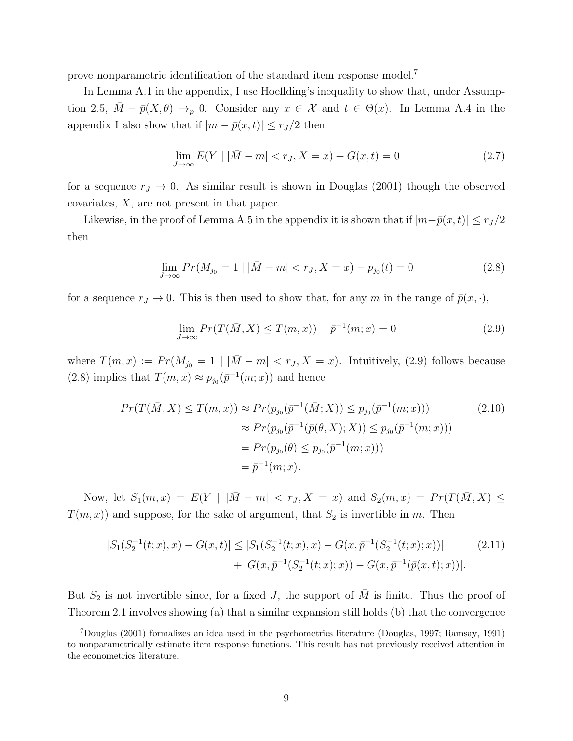prove nonparametric identification of the standard item response model.<sup>7</sup>

In Lemma A.1 in the appendix, I use Hoeffding's inequality to show that, under Assumption 2.5,  $\bar{M} - \bar{p}(X, \theta) \rightarrow_p 0$ . Consider any  $x \in \mathcal{X}$  and  $t \in \Theta(x)$ . In Lemma A.4 in the appendix I also show that if  $|m - \bar{p}(x, t)| \leq r_J/2$  then

$$
\lim_{J \to \infty} E(Y \mid |\bar{M} - m| < r_J, X = x) - G(x, t) = 0 \tag{2.7}
$$

for a sequence  $r_J \to 0$ . As similar result is shown in Douglas (2001) though the observed covariates, X, are not present in that paper.

Likewise, in the proof of Lemma A.5 in the appendix it is shown that if  $|m-\bar{p}(x,t)| \leq r_J/2$ then

$$
\lim_{J \to \infty} Pr(M_{j_0} = 1 \mid |\bar{M} - m| < r_J, X = x) - p_{j_0}(t) = 0 \tag{2.8}
$$

for a sequence  $r_J \to 0$ . This is then used to show that, for any m in the range of  $\bar{p}(x, \cdot)$ ,

$$
\lim_{J \to \infty} Pr(T(\bar{M}, X) \le T(m, x)) - \bar{p}^{-1}(m, x) = 0
$$
\n(2.9)

where  $T(m, x) := Pr(M_{j_0} = 1 | |\bar{M} - m| < r_J, X = x)$ . Intuitively, (2.9) follows because (2.8) implies that  $T(m, x) \approx p_{j_0}(\bar{p}^{-1}(m; x))$  and hence

$$
Pr(T(\bar{M}, X) \le T(m, x)) \approx Pr(p_{j_0}(\bar{p}^{-1}(\bar{M}; X)) \le p_{j_0}(\bar{p}^{-1}(m; x)))
$$
  
\n
$$
\approx Pr(p_{j_0}(\bar{p}^{-1}(\bar{p}(\theta, X); X)) \le p_{j_0}(\bar{p}^{-1}(m; x)))
$$
  
\n
$$
= Pr(p_{j_0}(\theta) \le p_{j_0}(\bar{p}^{-1}(m; x)))
$$
  
\n
$$
= \bar{p}^{-1}(m; x).
$$
\n(2.10)

Now, let  $S_1(m, x) = E(Y | |\bar{M} - m| < r_J, X = x)$  and  $S_2(m, x) = Pr(T(\bar{M}, X) \leq$  $T(m, x)$  and suppose, for the sake of argument, that  $S_2$  is invertible in m. Then

$$
|S_1(S_2^{-1}(t;x),x) - G(x,t)| \le |S_1(S_2^{-1}(t;x),x) - G(x,\bar{p}^{-1}(S_2^{-1}(t;x);x))|
$$
  
+ |G(x,\bar{p}^{-1}(S\_2^{-1}(t;x);x)) - G(x,\bar{p}^{-1}(\bar{p}(x,t);x))|. (2.11)

But  $S_2$  is not invertible since, for a fixed J, the support of  $\overline{M}$  is finite. Thus the proof of Theorem 2.1 involves showing (a) that a similar expansion still holds (b) that the convergence

<sup>7</sup>Douglas (2001) formalizes an idea used in the psychometrics literature (Douglas, 1997; Ramsay, 1991) to nonparametrically estimate item response functions. This result has not previously received attention in the econometrics literature.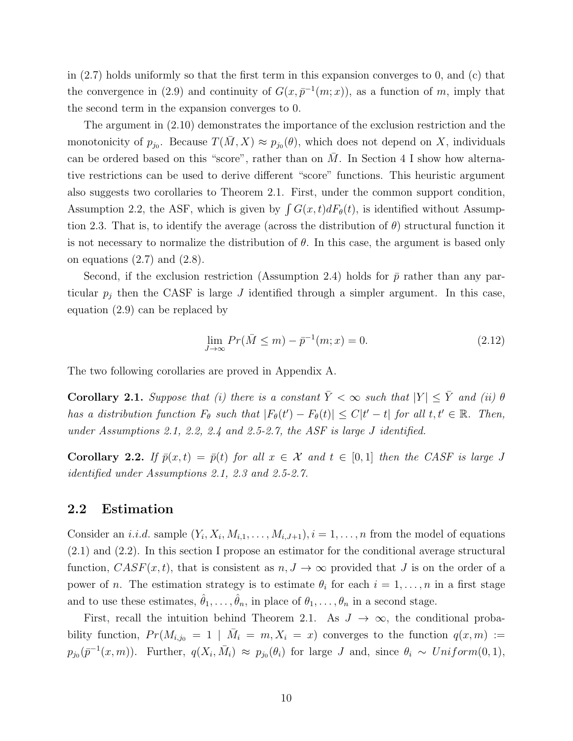in (2.7) holds uniformly so that the first term in this expansion converges to 0, and (c) that the convergence in (2.9) and continuity of  $G(x, \bar{p}^{-1}(m; x))$ , as a function of m, imply that the second term in the expansion converges to 0.

The argument in (2.10) demonstrates the importance of the exclusion restriction and the monotonicity of  $p_{j_0}$ . Because  $T(\bar{M}, X) \approx p_{j_0}(\theta)$ , which does not depend on X, individuals can be ordered based on this "score", rather than on  $\overline{M}$ . In Section 4 I show how alternative restrictions can be used to derive different "score" functions. This heuristic argument also suggests two corollaries to Theorem 2.1. First, under the common support condition, Assumption 2.2, the ASF, which is given by  $\int G(x, t) dF_{\theta}(t)$ , is identified without Assumption 2.3. That is, to identify the average (across the distribution of  $\theta$ ) structural function it is not necessary to normalize the distribution of  $\theta$ . In this case, the argument is based only on equations  $(2.7)$  and  $(2.8)$ .

Second, if the exclusion restriction (Assumption 2.4) holds for  $\bar{p}$  rather than any particular  $p_i$  then the CASF is large J identified through a simpler argument. In this case, equation (2.9) can be replaced by

$$
\lim_{J \to \infty} Pr(\bar{M} \le m) - \bar{p}^{-1}(m; x) = 0.
$$
\n(2.12)

The two following corollaries are proved in Appendix A.

**Corollary 2.1.** Suppose that (i) there is a constant  $\overline{Y} < \infty$  such that  $|Y| \leq \overline{Y}$  and (ii)  $\theta$ has a distribution function  $F_{\theta}$  such that  $|F_{\theta}(t') - F_{\theta}(t)| \leq C|t'-t|$  for all  $t, t' \in \mathbb{R}$ . Then, under Assumptions 2.1, 2.2, 2.4 and 2.5-2.7, the ASF is large J identified.

**Corollary 2.2.** If  $\bar{p}(x, t) = \bar{p}(t)$  for all  $x \in \mathcal{X}$  and  $t \in [0, 1]$  then the CASF is large J identified under Assumptions 2.1, 2.3 and 2.5-2.7.

#### 2.2 Estimation

Consider an *i.i.d.* sample  $(Y_i, X_i, M_{i,1}, \ldots, M_{i,J+1}), i = 1, \ldots, n$  from the model of equations (2.1) and (2.2). In this section I propose an estimator for the conditional average structural function,  $CASF(x, t)$ , that is consistent as  $n, J \rightarrow \infty$  provided that J is on the order of a power of *n*. The estimation strategy is to estimate  $\theta_i$  for each  $i = 1, \ldots, n$  in a first stage and to use these estimates,  $\hat{\theta}_1, \ldots, \hat{\theta}_n$ , in place of  $\theta_1, \ldots, \theta_n$  in a second stage.

First, recall the intuition behind Theorem 2.1. As  $J \to \infty$ , the conditional probability function,  $Pr(M_{i,j_0} = 1 | \bar{M}_i = m, X_i = x)$  converges to the function  $q(x,m) :=$  $p_{j_0}(\bar{p}^{-1}(x,m))$ . Further,  $q(X_i, \bar{M}_i) \approx p_{j_0}(\theta_i)$  for large J and, since  $\theta_i \sim Uniform(0, 1)$ ,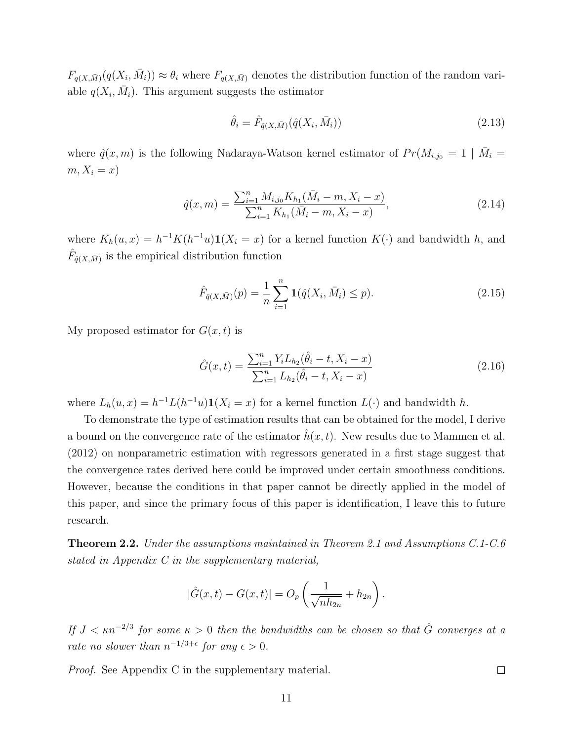$F_{q(X,\bar{M})}(q(X_i,\bar{M}_i)) \approx \theta_i$  where  $F_{q(X,\bar{M})}$  denotes the distribution function of the random variable  $q(X_i, \bar{M}_i)$ . This argument suggests the estimator

$$
\hat{\theta}_i = \hat{F}_{\hat{q}(X,\bar{M})}(\hat{q}(X_i, \bar{M}_i))
$$
\n(2.13)

where  $\hat{q}(x,m)$  is the following Nadaraya-Watson kernel estimator of  $Pr(M_{i,j_0} = 1 | \bar{M}_i =$  $m, X_i = x$ 

$$
\hat{q}(x,m) = \frac{\sum_{i=1}^{n} M_{i,j_0} K_{h_1}(\bar{M}_i - m, X_i - x)}{\sum_{i=1}^{n} K_{h_1}(\bar{M}_i - m, X_i - x)},
$$
\n(2.14)

where  $K_h(u, x) = h^{-1}K(h^{-1}u)\mathbf{1}(X_i = x)$  for a kernel function  $K(\cdot)$  and bandwidth h, and  $\hat{F}_{\hat{q}(X,\bar{M})}$  is the empirical distribution function

$$
\hat{F}_{\hat{q}(X,\bar{M})}(p) = \frac{1}{n} \sum_{i=1}^{n} \mathbf{1}(\hat{q}(X_i, \bar{M}_i) \le p).
$$
\n(2.15)

My proposed estimator for  $G(x, t)$  is

$$
\hat{G}(x,t) = \frac{\sum_{i=1}^{n} Y_i L_{h_2}(\hat{\theta}_i - t, X_i - x)}{\sum_{i=1}^{n} L_{h_2}(\hat{\theta}_i - t, X_i - x)}
$$
(2.16)

where  $L_h(u, x) = h^{-1}L(h^{-1}u)\mathbf{1}(X_i = x)$  for a kernel function  $L(\cdot)$  and bandwidth h.

To demonstrate the type of estimation results that can be obtained for the model, I derive a bound on the convergence rate of the estimator  $h(x, t)$ . New results due to Mammen et al. (2012) on nonparametric estimation with regressors generated in a first stage suggest that the convergence rates derived here could be improved under certain smoothness conditions. However, because the conditions in that paper cannot be directly applied in the model of this paper, and since the primary focus of this paper is identification, I leave this to future research.

Theorem 2.2. Under the assumptions maintained in Theorem 2.1 and Assumptions C.1-C.6 stated in Appendix C in the supplementary material,

$$
|\hat{G}(x,t) - G(x,t)| = O_p\left(\frac{1}{\sqrt{nh_{2n}}} + h_{2n}\right).
$$

If  $J < \kappa n^{-2/3}$  for some  $\kappa > 0$  then the bandwidths can be chosen so that  $\hat{G}$  converges at a rate no slower than  $n^{-1/3+\epsilon}$  for any  $\epsilon > 0$ .

Proof. See Appendix C in the supplementary material.

 $\Box$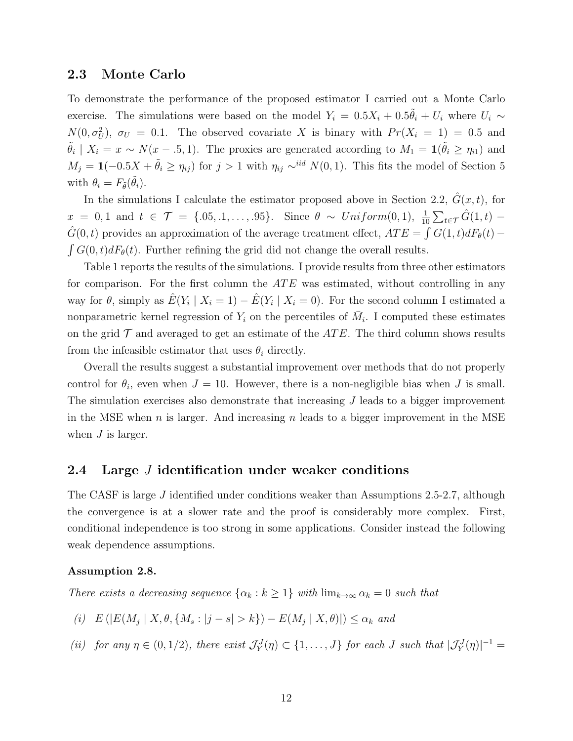#### 2.3 Monte Carlo

To demonstrate the performance of the proposed estimator I carried out a Monte Carlo exercise. The simulations were based on the model  $Y_i = 0.5X_i + 0.5\tilde{\theta}_i + U_i$  where  $U_i \sim$  $N(0, \sigma_U^2)$ ,  $\sigma_U = 0.1$ . The observed covariate X is binary with  $Pr(X_i = 1) = 0.5$  and  $\tilde{\theta}_i \mid X_i = x \sim N(x - .5, 1)$ . The proxies are generated according to  $M_1 = \mathbf{1}(\tilde{\theta}_i \ge \eta_{i1})$  and  $M_j = 1(-0.5X + \tilde{\theta}_i \ge \eta_{ij})$  for  $j > 1$  with  $\eta_{ij} \sim^{iid} N(0, 1)$ . This fits the model of Section 5 with  $\theta_i = F_{\tilde{\theta}}(\tilde{\theta}_i)$ .

In the simulations I calculate the estimator proposed above in Section 2.2,  $\hat{G}(x, t)$ , for  $x = 0, 1$  and  $t \in \mathcal{T} = \{.05, .1, \ldots, .95\}.$  Since  $\theta \sim Uniform(0, 1), \frac{1}{10} \sum_{t \in \mathcal{T}} \hat{G}(1, t)$  $\hat{G}(0,t)$  provides an approximation of the average treatment effect,  $ATE = \int G(1,t) dF_{\theta}(t)$  $\int G(0, t) dF_{\theta}(t)$ . Further refining the grid did not change the overall results.

Table 1 reports the results of the simulations. I provide results from three other estimators for comparison. For the first column the  $ATE$  was estimated, without controlling in any way for  $\theta$ , simply as  $\hat{E}(Y_i | X_i = 1) - \hat{E}(Y_i | X_i = 0)$ . For the second column I estimated a nonparametric kernel regression of  $Y_i$  on the percentiles of  $\overline{M}_i$ . I computed these estimates on the grid  $\mathcal T$  and averaged to get an estimate of the  $ATE$ . The third column shows results from the infeasible estimator that uses  $\theta_i$  directly.

Overall the results suggest a substantial improvement over methods that do not properly control for  $\theta_i$ , even when  $J = 10$ . However, there is a non-negligible bias when J is small. The simulation exercises also demonstrate that increasing  $J$  leads to a bigger improvement in the MSE when n is larger. And increasing n leads to a bigger improvement in the MSE when  $J$  is larger.

### 2.4 Large *J* identification under weaker conditions

The CASF is large J identified under conditions weaker than Assumptions 2.5-2.7, although the convergence is at a slower rate and the proof is considerably more complex. First, conditional independence is too strong in some applications. Consider instead the following weak dependence assumptions.

#### Assumption 2.8.

There exists a decreasing sequence  $\{\alpha_k : k \geq 1\}$  with  $\lim_{k \to \infty} \alpha_k = 0$  such that

(i)  $E(|E(M_j | X, \theta, \{M_s : |j - s| > k\}) - E(M_j | X, \theta)|) \leq \alpha_k$  and

(ii) for any  $\eta \in (0, 1/2)$ , there exist  $\mathcal{J}_Y^J(\eta) \subset \{1, \ldots, J\}$  for each J such that  $|\mathcal{J}_Y^J(\eta)|^{-1} =$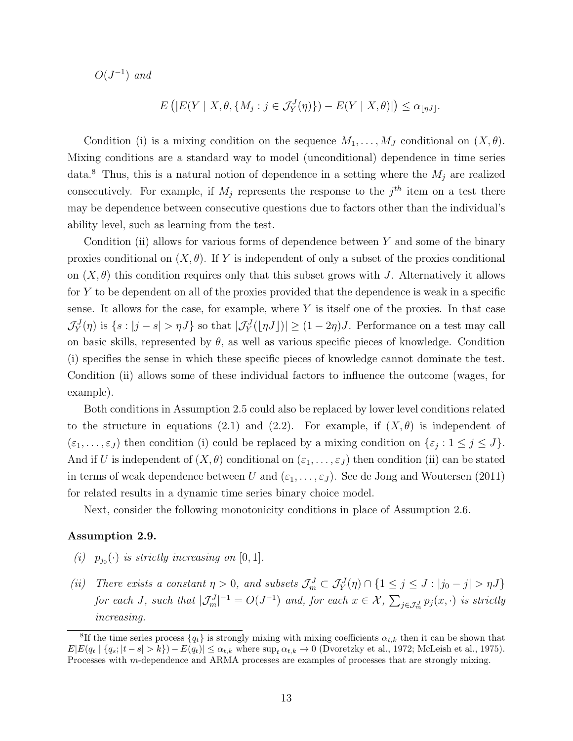$O(J^{-1})$  and

$$
E\left(|E(Y \mid X, \theta, \{M_j : j \in \mathcal{J}_Y^J(\eta)\}) - E(Y \mid X, \theta)\right| \le \alpha_{\lfloor \eta J \rfloor}.
$$

Condition (i) is a mixing condition on the sequence  $M_1, \ldots, M_J$  conditional on  $(X, \theta)$ . Mixing conditions are a standard way to model (unconditional) dependence in time series data.<sup>8</sup> Thus, this is a natural notion of dependence in a setting where the  $M_i$  are realized consecutively. For example, if  $M_j$  represents the response to the  $j<sup>th</sup>$  item on a test there may be dependence between consecutive questions due to factors other than the individual's ability level, such as learning from the test.

Condition (ii) allows for various forms of dependence between  $Y$  and some of the binary proxies conditional on  $(X, \theta)$ . If Y is independent of only a subset of the proxies conditional on  $(X, \theta)$  this condition requires only that this subset grows with J. Alternatively it allows for  $Y$  to be dependent on all of the proxies provided that the dependence is weak in a specific sense. It allows for the case, for example, where  $Y$  is itself one of the proxies. In that case  $\mathcal{J}_Y^J(\eta)$  is  $\{s : |j - s| > \eta J\}$  so that  $|\mathcal{J}_Y^J(|\eta J|)| \ge (1 - 2\eta)J$ . Performance on a test may call on basic skills, represented by  $\theta$ , as well as various specific pieces of knowledge. Condition (i) specifies the sense in which these specific pieces of knowledge cannot dominate the test. Condition (ii) allows some of these individual factors to influence the outcome (wages, for example).

Both conditions in Assumption 2.5 could also be replaced by lower level conditions related to the structure in equations (2.1) and (2.2). For example, if  $(X, \theta)$  is independent of  $(\varepsilon_1,\ldots,\varepsilon_J)$  then condition (i) could be replaced by a mixing condition on  $\{\varepsilon_j : 1 \leq j \leq J\}$ . And if U is independent of  $(X, \theta)$  conditional on  $(\varepsilon_1, \ldots, \varepsilon_J)$  then condition (ii) can be stated in terms of weak dependence between U and  $(\varepsilon_1, \ldots, \varepsilon_J)$ . See de Jong and Woutersen (2011) for related results in a dynamic time series binary choice model.

Next, consider the following monotonicity conditions in place of Assumption 2.6.

#### Assumption 2.9.

- (i)  $p_{j_0}(\cdot)$  is strictly increasing on [0, 1].
- (ii) There exists a constant  $\eta > 0$ , and subsets  $\mathcal{J}_m^J \subset \mathcal{J}_Y^J(\eta) \cap \{1 \leq j \leq J : |j_0 j| > \eta J\}$ for each J, such that  $|\mathcal{J}_m^J|^{-1} = O(J^{-1})$  and, for each  $x \in \mathcal{X}$ ,  $\sum_{j \in \mathcal{J}_m^J} p_j(x, \cdot)$  is strictly increasing.

<sup>&</sup>lt;sup>8</sup>If the time series process  $\{q_t\}$  is strongly mixing with mixing coefficients  $\alpha_{t,k}$  then it can be shown that  $E|E(q_t | \{q_s; |t-s| > k\}) - E(q_t)| \leq \alpha_{t,k}$  where  $\sup_t \alpha_{t,k} \to 0$  (Dvoretzky et al., 1972; McLeish et al., 1975). Processes with m-dependence and ARMA processes are examples of processes that are strongly mixing.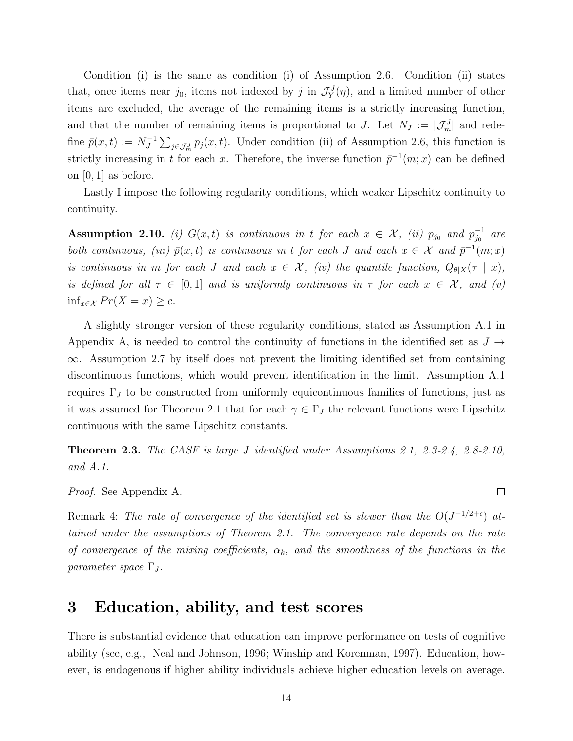Condition (i) is the same as condition (i) of Assumption 2.6. Condition (ii) states that, once items near  $j_0$ , items not indexed by j in  $\mathcal{J}_Y^J(\eta)$ , and a limited number of other items are excluded, the average of the remaining items is a strictly increasing function, and that the number of remaining items is proportional to J. Let  $N_J := |\mathcal{J}_m^J|$  and redefine  $\bar{p}(x,t) := N_I^{-1}$  $\int_J^{-1} \sum_{j \in \mathcal{J}_m^J} p_j(x,t)$ . Under condition (ii) of Assumption 2.6, this function is strictly increasing in t for each x. Therefore, the inverse function  $\bar{p}^{-1}(m; x)$  can be defined on [0, 1] as before.

Lastly I impose the following regularity conditions, which weaker Lipschitz continuity to continuity.

**Assumption 2.10.** (i)  $G(x,t)$  is continuous in t for each  $x \in \mathcal{X}$ , (ii)  $p_{j_0}$  and  $p_{j_0}^{-1}$  $\overline{j_0}^{-1}$  are both continuous, (iii)  $\bar{p}(x,t)$  is continuous in t for each J and each  $x \in \mathcal{X}$  and  $\bar{p}^{-1}(m;x)$ is continuous in m for each J and each  $x \in \mathcal{X}$ , (iv) the quantile function,  $Q_{\theta|X}(\tau | x)$ , is defined for all  $\tau \in [0,1]$  and is uniformly continuous in  $\tau$  for each  $x \in \mathcal{X}$ , and (v)  $\inf_{x \in \mathcal{X}} Pr(X = x) \geq c.$ 

A slightly stronger version of these regularity conditions, stated as Assumption A.1 in Appendix A, is needed to control the continuity of functions in the identified set as  $J \rightarrow$ ∞. Assumption 2.7 by itself does not prevent the limiting identified set from containing discontinuous functions, which would prevent identification in the limit. Assumption A.1 requires  $\Gamma_J$  to be constructed from uniformly equicontinuous families of functions, just as it was assumed for Theorem 2.1 that for each  $\gamma \in \Gamma_J$  the relevant functions were Lipschitz continuous with the same Lipschitz constants.

Theorem 2.3. The CASF is large J identified under Assumptions 2.1, 2.3-2.4, 2.8-2.10, and A.1.

 $\Box$ 

Proof. See Appendix A.

Remark 4: The rate of convergence of the identified set is slower than the  $O(J^{-1/2+\epsilon})$  attained under the assumptions of Theorem 2.1. The convergence rate depends on the rate of convergence of the mixing coefficients,  $\alpha_k$ , and the smoothness of the functions in the parameter space  $\Gamma_J$ .

## 3 Education, ability, and test scores

There is substantial evidence that education can improve performance on tests of cognitive ability (see, e.g., Neal and Johnson, 1996; Winship and Korenman, 1997). Education, however, is endogenous if higher ability individuals achieve higher education levels on average.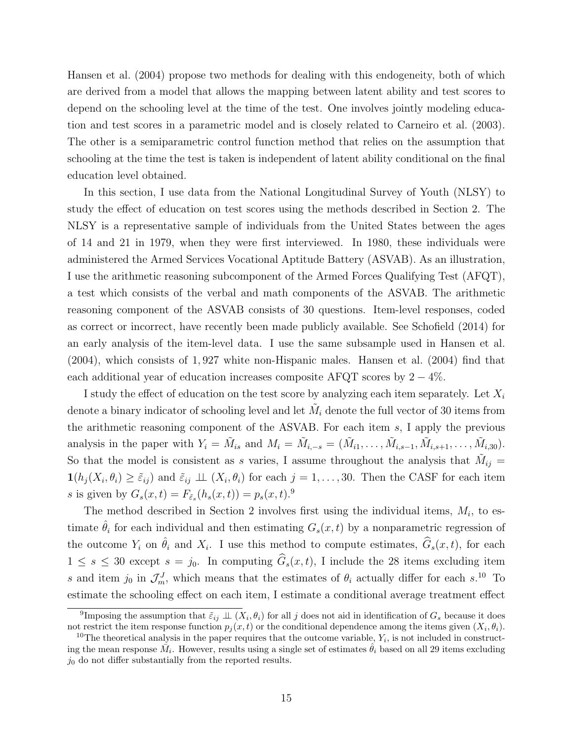Hansen et al. (2004) propose two methods for dealing with this endogeneity, both of which are derived from a model that allows the mapping between latent ability and test scores to depend on the schooling level at the time of the test. One involves jointly modeling education and test scores in a parametric model and is closely related to Carneiro et al. (2003). The other is a semiparametric control function method that relies on the assumption that schooling at the time the test is taken is independent of latent ability conditional on the final education level obtained.

In this section, I use data from the National Longitudinal Survey of Youth (NLSY) to study the effect of education on test scores using the methods described in Section 2. The NLSY is a representative sample of individuals from the United States between the ages of 14 and 21 in 1979, when they were first interviewed. In 1980, these individuals were administered the Armed Services Vocational Aptitude Battery (ASVAB). As an illustration, I use the arithmetic reasoning subcomponent of the Armed Forces Qualifying Test (AFQT), a test which consists of the verbal and math components of the ASVAB. The arithmetic reasoning component of the ASVAB consists of 30 questions. Item-level responses, coded as correct or incorrect, have recently been made publicly available. See Schofield (2014) for an early analysis of the item-level data. I use the same subsample used in Hansen et al. (2004), which consists of 1, 927 white non-Hispanic males. Hansen et al. (2004) find that each additional year of education increases composite AFQT scores by  $2 - 4\%$ .

I study the effect of education on the test score by analyzing each item separately. Let  $X_i$ denote a binary indicator of schooling level and let  $\tilde{M}_i$  denote the full vector of 30 items from the arithmetic reasoning component of the ASVAB. For each item s, I apply the previous analysis in the paper with  $Y_i = \tilde{M}_{is}$  and  $M_i = \tilde{M}_{i,-s} = (\tilde{M}_{i1}, \ldots, \tilde{M}_{i,s-1}, \tilde{M}_{i,s+1}, \ldots, \tilde{M}_{i,30}).$ So that the model is consistent as s varies, I assume throughout the analysis that  $\tilde{M}_{ij} =$  $\mathbf{1}(h_j(X_i,\theta_i) \geq \tilde{\varepsilon}_{ij})$  and  $\tilde{\varepsilon}_{ij} \perp \perp (X_i,\theta_i)$  for each  $j=1,\ldots,30$ . Then the CASF for each item s is given by  $G_s(x,t) = F_{\tilde{\varepsilon}_s}(h_s(x,t)) = p_s(x,t).^{9}$ 

The method described in Section 2 involves first using the individual items,  $M_i$ , to estimate  $\hat{\theta}_i$  for each individual and then estimating  $G_s(x,t)$  by a nonparametric regression of the outcome  $Y_i$  on  $\hat{\theta}_i$  and  $X_i$ . I use this method to compute estimates,  $\hat{G}_s(x, t)$ , for each  $1 \leq s \leq 30$  except  $s = j_0$ . In computing  $\widehat{G}_s(x, t)$ , I include the 28 items excluding item s and item  $j_0$  in  $\mathcal{J}_m^J$ , which means that the estimates of  $\theta_i$  actually differ for each s.<sup>10</sup> To estimate the schooling effect on each item, I estimate a conditional average treatment effect

<sup>&</sup>lt;sup>9</sup>Imposing the assumption that  $\tilde{\varepsilon}_{ij} \perp (X_i, \theta_i)$  for all j does not aid in identification of  $G_s$  because it does not restrict the item response function  $p_j(x,t)$  or the conditional dependence among the items given  $(X_i, \theta_i)$ .

<sup>&</sup>lt;sup>10</sup>The theoretical analysis in the paper requires that the outcome variable,  $Y_i$ , is not included in constructing the mean response  $\tilde{M}_i$ . However, results using a single set of estimates  $\hat{\theta}_i$  based on all 29 items excluding  $j_0$  do not differ substantially from the reported results.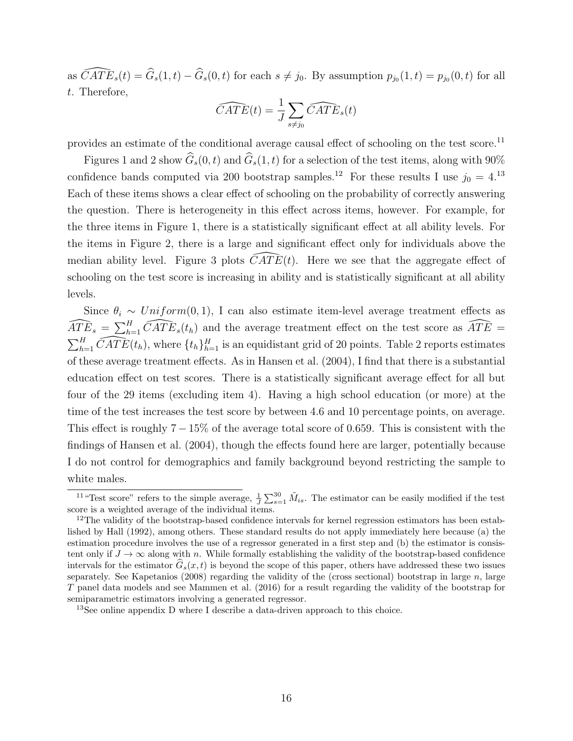as  $\widehat{CATE}_s(t) = \widehat{G}_s(1, t) - \widehat{G}_s(0, t)$  for each  $s \neq j_0$ . By assumption  $p_{j_0}(1, t) = p_{j_0}(0, t)$  for all t. Therefore,

$$
\widehat{CATE}(t) = \frac{1}{J} \sum_{s \neq j_0} \widehat{CATE}_s(t)
$$

provides an estimate of the conditional average causal effect of schooling on the test score.<sup>11</sup>

Figures 1 and 2 show  $\widehat{G}_s(0, t)$  and  $\widehat{G}_s(1, t)$  for a selection of the test items, along with 90% confidence bands computed via 200 bootstrap samples.<sup>12</sup> For these results I use  $j_0 = 4$ .<sup>13</sup> Each of these items shows a clear effect of schooling on the probability of correctly answering the question. There is heterogeneity in this effect across items, however. For example, for the three items in Figure 1, there is a statistically significant effect at all ability levels. For the items in Figure 2, there is a large and significant effect only for individuals above the median ability level. Figure 3 plots  $\overline{CATE}(t)$ . Here we see that the aggregate effect of schooling on the test score is increasing in ability and is statistically significant at all ability levels.

Since  $\theta_i \sim Uniform(0, 1)$ , I can also estimate item-level average treatment effects as  $\widehat{ATE}_s = \sum_{h=1}^{H} \widehat{CATE}_s(t_h)$  and the average treatment effect on the test score as  $\widehat{ATE} =$  $\sum_{h=1}^H \widehat{CATE}(t_h)$ , where  $\{t_h\}_{h=1}^H$  is an equidistant grid of 20 points. Table 2 reports estimates of these average treatment effects. As in Hansen et al. (2004), I find that there is a substantial education effect on test scores. There is a statistically significant average effect for all but four of the 29 items (excluding item 4). Having a high school education (or more) at the time of the test increases the test score by between 4.6 and 10 percentage points, on average. This effect is roughly  $7 - 15\%$  of the average total score of 0.659. This is consistent with the findings of Hansen et al. (2004), though the effects found here are larger, potentially because I do not control for demographics and family background beyond restricting the sample to white males.

<sup>&</sup>lt;sup>11</sup> "Test score" refers to the simple average,  $\frac{1}{J}\sum_{s=1}^{30} \tilde{M}_{is}$ . The estimator can be easily modified if the test score is a weighted average of the individual items.

<sup>&</sup>lt;sup>12</sup>The validity of the bootstrap-based confidence intervals for kernel regression estimators has been established by Hall (1992), among others. These standard results do not apply immediately here because (a) the estimation procedure involves the use of a regressor generated in a first step and (b) the estimator is consistent only if  $J \to \infty$  along with n. While formally establishing the validity of the bootstrap-based confidence intervals for the estimator  $G_s(x, t)$  is beyond the scope of this paper, others have addressed these two issues separately. See Kapetanios (2008) regarding the validity of the (cross sectional) bootstrap in large n, large T panel data models and see Mammen et al. (2016) for a result regarding the validity of the bootstrap for semiparametric estimators involving a generated regressor.

<sup>&</sup>lt;sup>13</sup>See online appendix D where I describe a data-driven approach to this choice.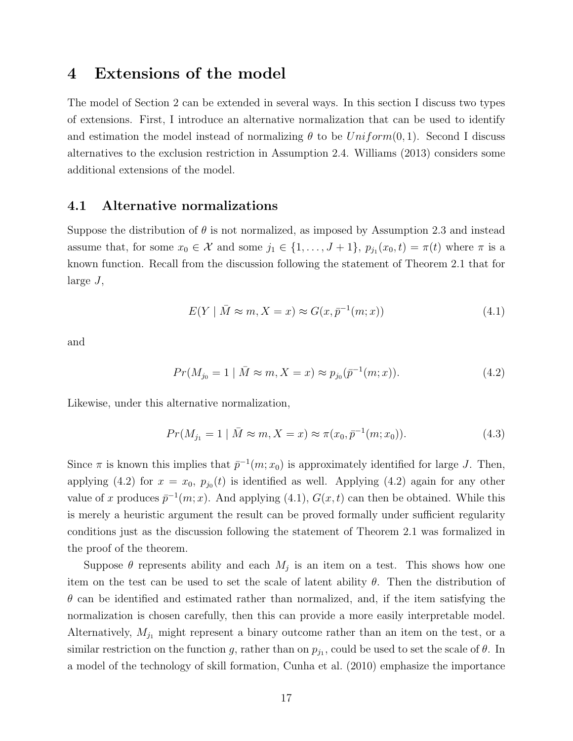## 4 Extensions of the model

The model of Section 2 can be extended in several ways. In this section I discuss two types of extensions. First, I introduce an alternative normalization that can be used to identify and estimation the model instead of normalizing  $\theta$  to be  $Uniform(0, 1)$ . Second I discuss alternatives to the exclusion restriction in Assumption 2.4. Williams (2013) considers some additional extensions of the model.

## 4.1 Alternative normalizations

Suppose the distribution of  $\theta$  is not normalized, as imposed by Assumption 2.3 and instead assume that, for some  $x_0 \in \mathcal{X}$  and some  $j_1 \in \{1, ..., J+1\}$ ,  $p_{j_1}(x_0, t) = \pi(t)$  where  $\pi$  is a known function. Recall from the discussion following the statement of Theorem 2.1 that for large J,

$$
E(Y \mid \bar{M} \approx m, X = x) \approx G(x, \bar{p}^{-1}(m; x)) \tag{4.1}
$$

and

$$
Pr(M_{j_0} = 1 | \bar{M} \approx m, X = x) \approx p_{j_0}(\bar{p}^{-1}(m; x)).
$$
\n(4.2)

Likewise, under this alternative normalization,

$$
Pr(M_{j_1} = 1 | \bar{M} \approx m, X = x) \approx \pi(x_0, \bar{p}^{-1}(m; x_0)).
$$
\n(4.3)

Since  $\pi$  is known this implies that  $\bar{p}^{-1}(m; x_0)$  is approximately identified for large J. Then, applying (4.2) for  $x = x_0$ ,  $p_{j_0}(t)$  is identified as well. Applying (4.2) again for any other value of x produces  $\bar{p}^{-1}(m; x)$ . And applying (4.1),  $G(x, t)$  can then be obtained. While this is merely a heuristic argument the result can be proved formally under sufficient regularity conditions just as the discussion following the statement of Theorem 2.1 was formalized in the proof of the theorem.

Suppose  $\theta$  represents ability and each  $M_j$  is an item on a test. This shows how one item on the test can be used to set the scale of latent ability  $\theta$ . Then the distribution of  $\theta$  can be identified and estimated rather than normalized, and, if the item satisfying the normalization is chosen carefully, then this can provide a more easily interpretable model. Alternatively,  $M_{j_1}$  might represent a binary outcome rather than an item on the test, or a similar restriction on the function g, rather than on  $p_{j_1}$ , could be used to set the scale of  $\theta$ . In a model of the technology of skill formation, Cunha et al. (2010) emphasize the importance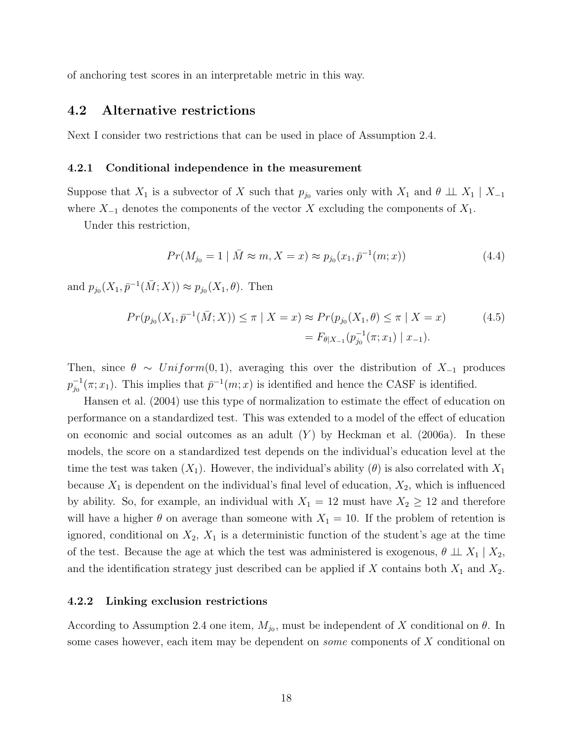of anchoring test scores in an interpretable metric in this way.

### 4.2 Alternative restrictions

Next I consider two restrictions that can be used in place of Assumption 2.4.

#### 4.2.1 Conditional independence in the measurement

Suppose that  $X_1$  is a subvector of X such that  $p_{j_0}$  varies only with  $X_1$  and  $\theta \perp X_1 \mid X_{-1}$ where  $X_{-1}$  denotes the components of the vector X excluding the components of  $X_1$ .

Under this restriction,

$$
Pr(M_{j_0} = 1 | \bar{M} \approx m, X = x) \approx p_{j_0}(x_1, \bar{p}^{-1}(m; x))
$$
\n(4.4)

and  $p_{j_0}(X_1, \bar{p}^{-1}(\bar{M}; X)) \approx p_{j_0}(X_1, \theta)$ . Then

$$
Pr(p_{j_0}(X_1, \bar{p}^{-1}(\bar{M}; X)) \le \pi \mid X = x) \approx Pr(p_{j_0}(X_1, \theta) \le \pi \mid X = x)
$$
(4.5)  

$$
= F_{\theta \mid X_{-1}}(p_{j_0}^{-1}(\pi; x_1) \mid x_{-1}).
$$

Then, since  $\theta \sim Uniform(0, 1)$ , averaging this over the distribution of  $X_{-1}$  produces  $p_{i_0}^{-1}$  $\bar{p}^{-1}(\pi; x_1)$ . This implies that  $\bar{p}^{-1}(m; x)$  is identified and hence the CASF is identified.

Hansen et al. (2004) use this type of normalization to estimate the effect of education on performance on a standardized test. This was extended to a model of the effect of education on economic and social outcomes as an adult  $(Y)$  by Heckman et al. (2006a). In these models, the score on a standardized test depends on the individual's education level at the time the test was taken  $(X_1)$ . However, the individual's ability  $(\theta)$  is also correlated with  $X_1$ because  $X_1$  is dependent on the individual's final level of education,  $X_2$ , which is influenced by ability. So, for example, an individual with  $X_1 = 12$  must have  $X_2 \ge 12$  and therefore will have a higher  $\theta$  on average than someone with  $X_1 = 10$ . If the problem of retention is ignored, conditional on  $X_2$ ,  $X_1$  is a deterministic function of the student's age at the time of the test. Because the age at which the test was administered is exogenous,  $\theta \perp X_1 \mid X_2$ , and the identification strategy just described can be applied if  $X$  contains both  $X_1$  and  $X_2$ .

#### 4.2.2 Linking exclusion restrictions

According to Assumption 2.4 one item,  $M_{j_0}$ , must be independent of X conditional on  $\theta$ . In some cases however, each item may be dependent on *some* components of X conditional on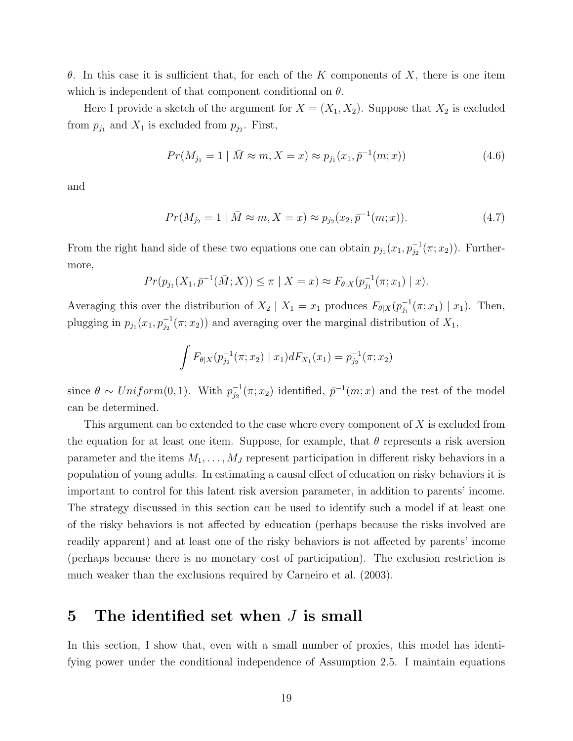θ. In this case it is sufficient that, for each of the K components of X, there is one item which is independent of that component conditional on  $\theta$ .

Here I provide a sketch of the argument for  $X = (X_1, X_2)$ . Suppose that  $X_2$  is excluded from  $p_{j_1}$  and  $X_1$  is excluded from  $p_{j_2}$ . First,

$$
Pr(M_{j_1} = 1 | \bar{M} \approx m, X = x) \approx p_{j_1}(x_1, \bar{p}^{-1}(m; x))
$$
\n(4.6)

and

$$
Pr(M_{j_2} = 1 | \bar{M} \approx m, X = x) \approx p_{j_2}(x_2, \bar{p}^{-1}(m; x)).
$$
\n(4.7)

From the right hand side of these two equations one can obtain  $p_{j_1}(x_1, p_{j_2}^{-1}(\pi; x_2))$ . Furthermore,

$$
Pr(p_{j_1}(X_1, \bar{p}^{-1}(\bar{M}; X)) \leq \pi \mid X = x) \approx F_{\theta|X}(p_{j_1}^{-1}(\pi; x_1) \mid x).
$$

Averaging this over the distribution of  $X_2 \mid X_1 = x_1$  produces  $F_{\theta|X}(p_{i_1}^{-1})$  $_{j_1}^{-1}(\pi; x_1) | x_1$ . Then, plugging in  $p_{j_1}(x_1, p_{j_2}^{-1}(\pi; x_2))$  and averaging over the marginal distribution of  $X_1$ ,

$$
\int F_{\theta|X}(p_{j_2}^{-1}(\pi; x_2) | x_1)dF_{X_1}(x_1) = p_{j_2}^{-1}(\pi; x_2)
$$

since  $\theta \sim Uniform(0, 1)$ . With  $p_{i_2}^{-1}$  $\bar{p}_j^{-1}(\pi; x_2)$  identified,  $\bar{p}^{-1}(m; x)$  and the rest of the model can be determined.

This argument can be extended to the case where every component of  $X$  is excluded from the equation for at least one item. Suppose, for example, that  $\theta$  represents a risk aversion parameter and the items  $M_1, \ldots, M_J$  represent participation in different risky behaviors in a population of young adults. In estimating a causal effect of education on risky behaviors it is important to control for this latent risk aversion parameter, in addition to parents' income. The strategy discussed in this section can be used to identify such a model if at least one of the risky behaviors is not affected by education (perhaps because the risks involved are readily apparent) and at least one of the risky behaviors is not affected by parents' income (perhaps because there is no monetary cost of participation). The exclusion restriction is much weaker than the exclusions required by Carneiro et al. (2003).

# 5 The identified set when  $J$  is small

In this section, I show that, even with a small number of proxies, this model has identifying power under the conditional independence of Assumption 2.5. I maintain equations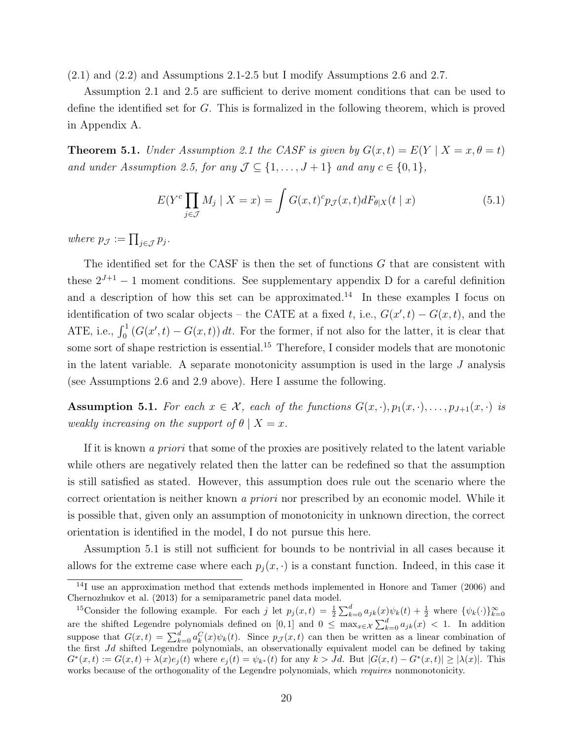(2.1) and (2.2) and Assumptions 2.1-2.5 but I modify Assumptions 2.6 and 2.7.

Assumption 2.1 and 2.5 are sufficient to derive moment conditions that can be used to define the identified set for G. This is formalized in the following theorem, which is proved in Appendix A.

**Theorem 5.1.** Under Assumption 2.1 the CASF is given by  $G(x,t) = E(Y | X = x, \theta = t)$ and under Assumption 2.5, for any  $\mathcal{J} \subseteq \{1, \ldots, J+1\}$  and any  $c \in \{0, 1\}$ ,

$$
E(Y^{c} \prod_{j \in \mathcal{J}} M_{j} \mid X = x) = \int G(x, t)^{c} p_{\mathcal{J}}(x, t) dF_{\theta|X}(t \mid x)
$$
\n(5.1)

where  $p_{\mathcal{J}} := \prod_{j \in \mathcal{J}} p_j$ .

The identified set for the CASF is then the set of functions G that are consistent with these  $2^{J+1} - 1$  moment conditions. See supplementary appendix D for a careful definition and a description of how this set can be approximated.<sup>14</sup> In these examples I focus on identification of two scalar objects – the CATE at a fixed t, i.e.,  $G(x', t) - G(x, t)$ , and the ATE, i.e.,  $\int_0^1 (G(x',t) - G(x,t)) dt$ . For the former, if not also for the latter, it is clear that some sort of shape restriction is essential.<sup>15</sup> Therefore, I consider models that are monotonic in the latent variable. A separate monotonicity assumption is used in the large  $J$  analysis (see Assumptions 2.6 and 2.9 above). Here I assume the following.

Assumption 5.1. For each  $x \in \mathcal{X}$ , each of the functions  $G(x, \cdot), p_1(x, \cdot), \ldots, p_{J+1}(x, \cdot)$  is weakly increasing on the support of  $\theta \mid X = x$ .

If it is known a priori that some of the proxies are positively related to the latent variable while others are negatively related then the latter can be redefined so that the assumption is still satisfied as stated. However, this assumption does rule out the scenario where the correct orientation is neither known a priori nor prescribed by an economic model. While it is possible that, given only an assumption of monotonicity in unknown direction, the correct orientation is identified in the model, I do not pursue this here.

Assumption 5.1 is still not sufficient for bounds to be nontrivial in all cases because it allows for the extreme case where each  $p_j(x, \cdot)$  is a constant function. Indeed, in this case it

<sup>&</sup>lt;sup>14</sup>I use an approximation method that extends methods implemented in Honore and Tamer (2006) and Chernozhukov et al. (2013) for a semiparametric panel data model.

<sup>&</sup>lt;sup>15</sup>Consider the following example. For each j let  $p_j(x,t) = \frac{1}{2} \sum_{k=0}^d a_{jk}(x) \psi_k(t) + \frac{1}{2}$  where  $\{\psi_k(\cdot)\}_{k=0}^{\infty}$ are the shifted Legendre polynomials defined on [0,1] and  $0 \leq \max_{x \in \mathcal{X}} \sum_{k=0}^{d} a_{jk}(x) < 1$ . In addition suppose that  $G(x,t) = \sum_{k=0}^{d} a_k^C(x)\psi_k(t)$ . Since  $p_{\mathcal{J}}(x,t)$  can then be written as a linear combination of the first Jd shifted Legendre polynomials, an observationally equivalent model can be defined by taking  $G^*(x,t) := G(x,t) + \lambda(x)e_j(t)$  where  $e_j(t) = \psi_{k^*}(t)$  for any  $k > Jd$ . But  $|G(x,t) - G^*(x,t)| \geq |\lambda(x)|$ . This works because of the orthogonality of the Legendre polynomials, which *requires* nonmonotonicity.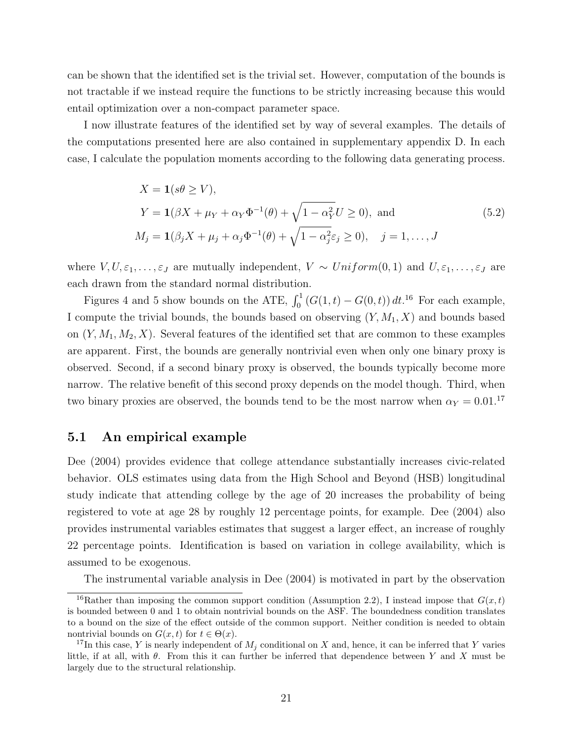can be shown that the identified set is the trivial set. However, computation of the bounds is not tractable if we instead require the functions to be strictly increasing because this would entail optimization over a non-compact parameter space.

I now illustrate features of the identified set by way of several examples. The details of the computations presented here are also contained in supplementary appendix D. In each case, I calculate the population moments according to the following data generating process.

$$
X = \mathbf{1}(s\theta \ge V),
$$
  
\n
$$
Y = \mathbf{1}(\beta X + \mu_Y + \alpha_Y \Phi^{-1}(\theta) + \sqrt{1 - \alpha_Y^2} U \ge 0), \text{ and}
$$
  
\n
$$
M_j = \mathbf{1}(\beta_j X + \mu_j + \alpha_j \Phi^{-1}(\theta) + \sqrt{1 - \alpha_j^2} \varepsilon_j \ge 0), \quad j = 1, ..., J
$$
\n(5.2)

where  $V, U, \varepsilon_1, \ldots, \varepsilon_J$  are mutually independent,  $V \sim Uniform(0, 1)$  and  $U, \varepsilon_1, \ldots, \varepsilon_J$  are each drawn from the standard normal distribution.

Figures 4 and 5 show bounds on the ATE,  $\int_0^1 (G(1,t) - G(0,t)) dt$ .<sup>16</sup> For each example, I compute the trivial bounds, the bounds based on observing  $(Y, M_1, X)$  and bounds based on  $(Y, M_1, M_2, X)$ . Several features of the identified set that are common to these examples are apparent. First, the bounds are generally nontrivial even when only one binary proxy is observed. Second, if a second binary proxy is observed, the bounds typically become more narrow. The relative benefit of this second proxy depends on the model though. Third, when two binary proxies are observed, the bounds tend to be the most narrow when  $\alpha_Y = 0.01$ .<sup>17</sup>

### 5.1 An empirical example

Dee (2004) provides evidence that college attendance substantially increases civic-related behavior. OLS estimates using data from the High School and Beyond (HSB) longitudinal study indicate that attending college by the age of 20 increases the probability of being registered to vote at age 28 by roughly 12 percentage points, for example. Dee (2004) also provides instrumental variables estimates that suggest a larger effect, an increase of roughly 22 percentage points. Identification is based on variation in college availability, which is assumed to be exogenous.

The instrumental variable analysis in Dee (2004) is motivated in part by the observation

<sup>&</sup>lt;sup>16</sup>Rather than imposing the common support condition (Assumption 2.2), I instead impose that  $G(x, t)$ is bounded between 0 and 1 to obtain nontrivial bounds on the ASF. The boundedness condition translates to a bound on the size of the effect outside of the common support. Neither condition is needed to obtain nontrivial bounds on  $G(x, t)$  for  $t \in \Theta(x)$ .

<sup>&</sup>lt;sup>17</sup>In this case, Y is nearly independent of  $M_i$  conditional on X and, hence, it can be inferred that Y varies little, if at all, with  $\theta$ . From this it can further be inferred that dependence between Y and X must be largely due to the structural relationship.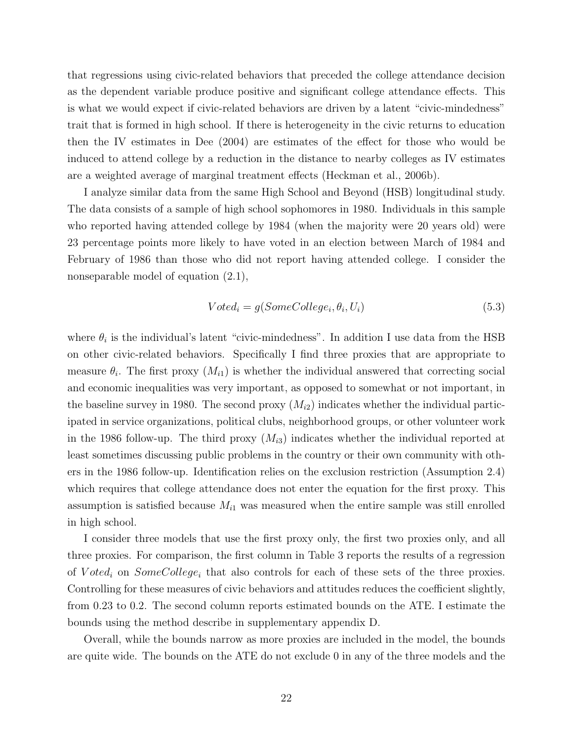that regressions using civic-related behaviors that preceded the college attendance decision as the dependent variable produce positive and significant college attendance effects. This is what we would expect if civic-related behaviors are driven by a latent "civic-mindedness" trait that is formed in high school. If there is heterogeneity in the civic returns to education then the IV estimates in Dee (2004) are estimates of the effect for those who would be induced to attend college by a reduction in the distance to nearby colleges as IV estimates are a weighted average of marginal treatment effects (Heckman et al., 2006b).

I analyze similar data from the same High School and Beyond (HSB) longitudinal study. The data consists of a sample of high school sophomores in 1980. Individuals in this sample who reported having attended college by 1984 (when the majority were 20 years old) were 23 percentage points more likely to have voted in an election between March of 1984 and February of 1986 than those who did not report having attended college. I consider the nonseparable model of equation  $(2.1)$ ,

$$
Voted_i = g(SomeCollege_i, \theta_i, U_i)
$$
\n
$$
(5.3)
$$

where  $\theta_i$  is the individual's latent "civic-mindedness". In addition I use data from the HSB on other civic-related behaviors. Specifically I find three proxies that are appropriate to measure  $\theta_i$ . The first proxy  $(M_{i1})$  is whether the individual answered that correcting social and economic inequalities was very important, as opposed to somewhat or not important, in the baseline survey in 1980. The second proxy  $(M_{i2})$  indicates whether the individual participated in service organizations, political clubs, neighborhood groups, or other volunteer work in the 1986 follow-up. The third proxy  $(M_{i3})$  indicates whether the individual reported at least sometimes discussing public problems in the country or their own community with others in the 1986 follow-up. Identification relies on the exclusion restriction (Assumption 2.4) which requires that college attendance does not enter the equation for the first proxy. This assumption is satisfied because  $M_{i1}$  was measured when the entire sample was still enrolled in high school.

I consider three models that use the first proxy only, the first two proxies only, and all three proxies. For comparison, the first column in Table 3 reports the results of a regression of  $Voted_i$  on  $SomeCollecti$  that also controls for each of these sets of the three proxies. Controlling for these measures of civic behaviors and attitudes reduces the coefficient slightly, from 0.23 to 0.2. The second column reports estimated bounds on the ATE. I estimate the bounds using the method describe in supplementary appendix D.

Overall, while the bounds narrow as more proxies are included in the model, the bounds are quite wide. The bounds on the ATE do not exclude 0 in any of the three models and the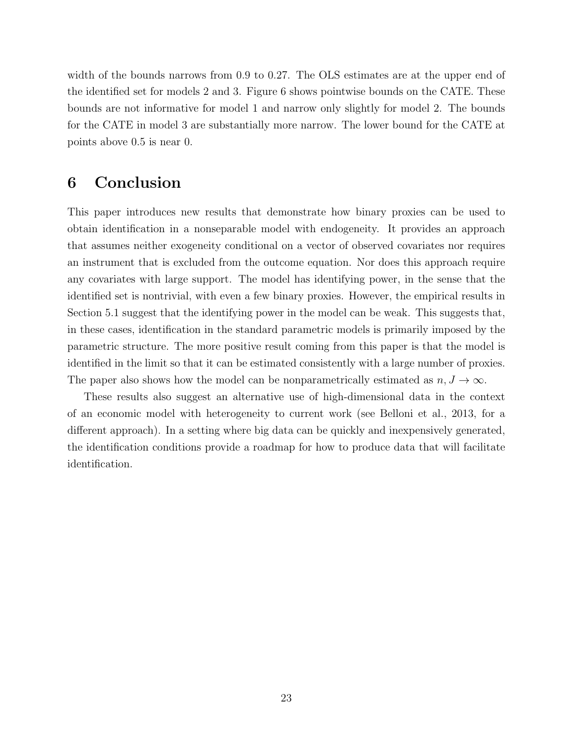width of the bounds narrows from 0.9 to 0.27. The OLS estimates are at the upper end of the identified set for models 2 and 3. Figure 6 shows pointwise bounds on the CATE. These bounds are not informative for model 1 and narrow only slightly for model 2. The bounds for the CATE in model 3 are substantially more narrow. The lower bound for the CATE at points above 0.5 is near 0.

# 6 Conclusion

This paper introduces new results that demonstrate how binary proxies can be used to obtain identification in a nonseparable model with endogeneity. It provides an approach that assumes neither exogeneity conditional on a vector of observed covariates nor requires an instrument that is excluded from the outcome equation. Nor does this approach require any covariates with large support. The model has identifying power, in the sense that the identified set is nontrivial, with even a few binary proxies. However, the empirical results in Section 5.1 suggest that the identifying power in the model can be weak. This suggests that, in these cases, identification in the standard parametric models is primarily imposed by the parametric structure. The more positive result coming from this paper is that the model is identified in the limit so that it can be estimated consistently with a large number of proxies. The paper also shows how the model can be nonparametrically estimated as  $n, J \to \infty$ .

These results also suggest an alternative use of high-dimensional data in the context of an economic model with heterogeneity to current work (see Belloni et al., 2013, for a different approach). In a setting where big data can be quickly and inexpensively generated, the identification conditions provide a roadmap for how to produce data that will facilitate identification.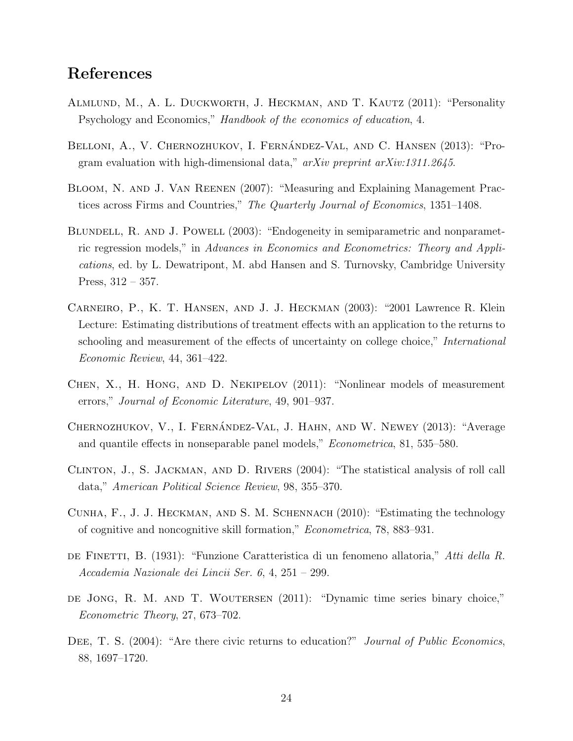# References

- Almlund, M., A. L. Duckworth, J. Heckman, and T. Kautz (2011): "Personality Psychology and Economics," Handbook of the economics of education, 4.
- BELLONI, A., V. CHERNOZHUKOV, I. FERNÁNDEZ-VAL, AND C. HANSEN (2013): "Program evaluation with high-dimensional data,"  $arXiv$  preprint  $arXiv:1311.2645$ .
- Bloom, N. and J. Van Reenen (2007): "Measuring and Explaining Management Practices across Firms and Countries," The Quarterly Journal of Economics, 1351–1408.
- BLUNDELL, R. AND J. POWELL (2003): "Endogeneity in semiparametric and nonparametric regression models," in Advances in Economics and Econometrics: Theory and Applications, ed. by L. Dewatripont, M. abd Hansen and S. Turnovsky, Cambridge University Press,  $312 - 357$ .
- Carneiro, P., K. T. Hansen, and J. J. Heckman (2003): "2001 Lawrence R. Klein Lecture: Estimating distributions of treatment effects with an application to the returns to schooling and measurement of the effects of uncertainty on college choice," *International* Economic Review, 44, 361–422.
- Chen, X., H. Hong, and D. Nekipelov (2011): "Nonlinear models of measurement errors," Journal of Economic Literature, 49, 901–937.
- CHERNOZHUKOV, V., I. FERNÁNDEZ-VAL, J. HAHN, AND W. NEWEY (2013): "Average and quantile effects in nonseparable panel models," Econometrica, 81, 535–580.
- Clinton, J., S. Jackman, and D. Rivers (2004): "The statistical analysis of roll call data," American Political Science Review, 98, 355–370.
- Cunha, F., J. J. Heckman, and S. M. Schennach (2010): "Estimating the technology of cognitive and noncognitive skill formation," Econometrica, 78, 883–931.
- de Finetti, B. (1931): "Funzione Caratteristica di un fenomeno allatoria," Atti della R. Accademia Nazionale dei Lincii Ser. 6, 4, 251 – 299.
- DE JONG, R. M. AND T. WOUTERSEN (2011): "Dynamic time series binary choice," Econometric Theory, 27, 673–702.
- DEE, T. S. (2004): "Are there civic returns to education?" *Journal of Public Economics*, 88, 1697–1720.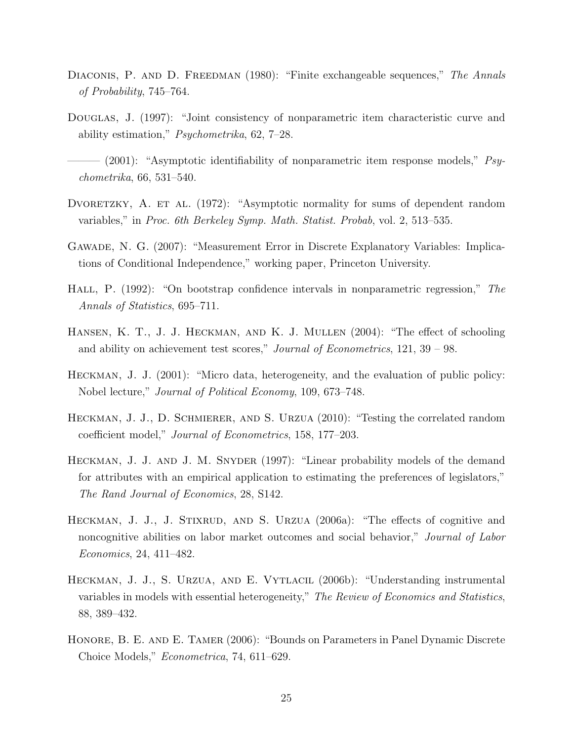- DIACONIS, P. AND D. FREEDMAN (1980): "Finite exchangeable sequences," The Annals of Probability, 745–764.
- DOUGLAS, J. (1997): "Joint consistency of nonparametric item characteristic curve and ability estimation," Psychometrika, 62, 7–28.
- $-$  (2001): "Asymptotic identifiability of nonparametric item response models,"  $P_{8y}$ chometrika, 66, 531–540.
- DVORETZKY, A. ET AL. (1972): "Asymptotic normality for sums of dependent random variables," in Proc. 6th Berkeley Symp. Math. Statist. Probab, vol. 2, 513–535.
- Gawade, N. G. (2007): "Measurement Error in Discrete Explanatory Variables: Implications of Conditional Independence," working paper, Princeton University.
- Hall, P. (1992): "On bootstrap confidence intervals in nonparametric regression," The Annals of Statistics, 695–711.
- HANSEN, K. T., J. J. HECKMAN, AND K. J. MULLEN (2004): "The effect of schooling and ability on achievement test scores," Journal of Econometrics, 121, 39 – 98.
- Heckman, J. J. (2001): "Micro data, heterogeneity, and the evaluation of public policy: Nobel lecture," Journal of Political Economy, 109, 673–748.
- Heckman, J. J., D. Schmierer, and S. Urzua (2010): "Testing the correlated random coefficient model," Journal of Econometrics, 158, 177–203.
- Heckman, J. J. and J. M. Snyder (1997): "Linear probability models of the demand for attributes with an empirical application to estimating the preferences of legislators," The Rand Journal of Economics, 28, S142.
- HECKMAN, J. J., J. STIXRUD, AND S. URZUA (2006a): "The effects of cognitive and noncognitive abilities on labor market outcomes and social behavior," Journal of Labor Economics, 24, 411–482.
- HECKMAN, J. J., S. URZUA, AND E. VYTLACIL (2006b): "Understanding instrumental variables in models with essential heterogeneity," The Review of Economics and Statistics, 88, 389–432.
- HONORE, B. E. AND E. TAMER (2006): "Bounds on Parameters in Panel Dynamic Discrete Choice Models," Econometrica, 74, 611–629.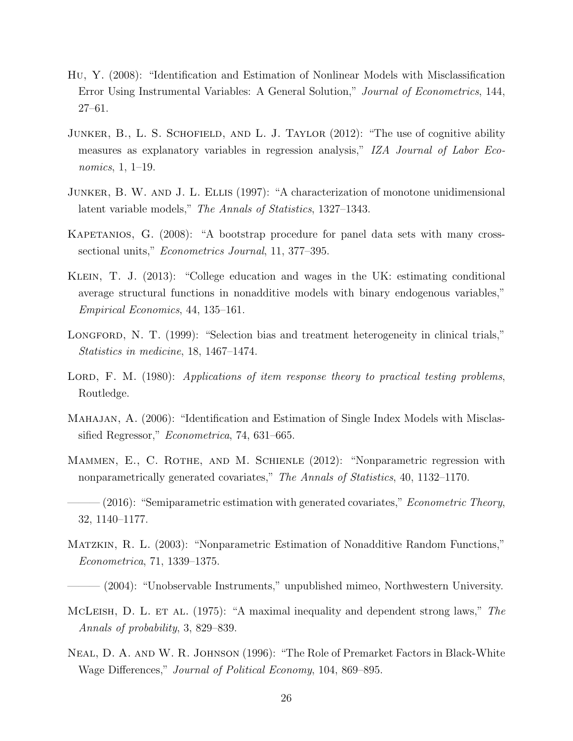- Hu, Y. (2008): "Identification and Estimation of Nonlinear Models with Misclassification Error Using Instrumental Variables: A General Solution," Journal of Econometrics, 144, 27–61.
- JUNKER, B., L. S. SCHOFIELD, AND L. J. TAYLOR (2012): "The use of cognitive ability measures as explanatory variables in regression analysis," IZA Journal of Labor Economics, 1, 1–19.
- Junker, B. W. and J. L. Ellis (1997): "A characterization of monotone unidimensional latent variable models," The Annals of Statistics, 1327–1343.
- KAPETANIOS, G. (2008): "A bootstrap procedure for panel data sets with many crosssectional units," *Econometrics Journal*, 11, 377–395.
- Klein, T. J. (2013): "College education and wages in the UK: estimating conditional average structural functions in nonadditive models with binary endogenous variables," Empirical Economics, 44, 135–161.
- LONGFORD, N. T. (1999): "Selection bias and treatment heterogeneity in clinical trials," Statistics in medicine, 18, 1467–1474.
- LORD, F. M.  $(1980)$ : Applications of item response theory to practical testing problems, Routledge.
- Mahajan, A. (2006): "Identification and Estimation of Single Index Models with Misclassified Regressor," *Econometrica*, 74, 631–665.
- Mammen, E., C. Rothe, and M. Schienle (2012): "Nonparametric regression with nonparametrically generated covariates," The Annals of Statistics, 40, 1132–1170.
- $-(2016)$ : "Semiparametric estimation with generated covariates," *Econometric Theory*, 32, 1140–1177.
- Matzkin, R. L. (2003): "Nonparametric Estimation of Nonadditive Random Functions," Econometrica, 71, 1339–1375.
- (2004): "Unobservable Instruments," unpublished mimeo, Northwestern University.
- McLeish, D. L. et al.  $(1975)$ : "A maximal inequality and dependent strong laws," The Annals of probability, 3, 829–839.
- Neal, D. A. and W. R. Johnson (1996): "The Role of Premarket Factors in Black-White Wage Differences," Journal of Political Economy, 104, 869–895.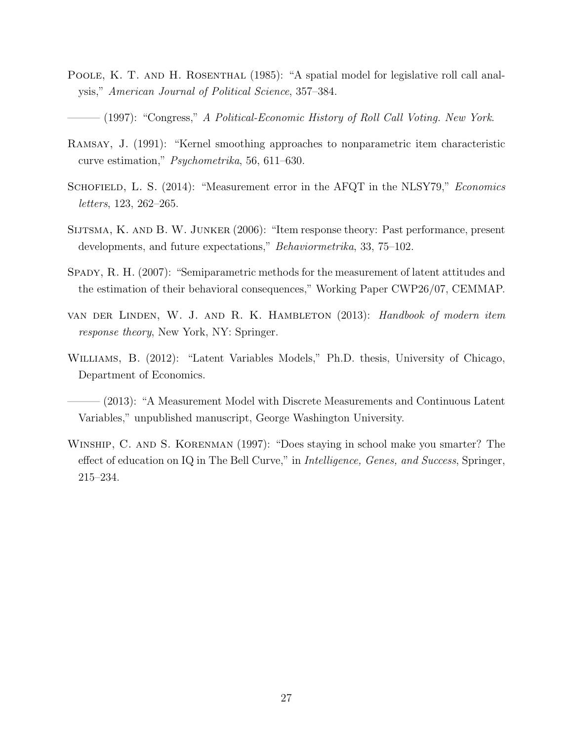- POOLE, K. T. AND H. ROSENTHAL (1985): "A spatial model for legislative roll call analysis," American Journal of Political Science, 357–384.
	- (1997): "Congress," A Political-Economic History of Roll Call Voting. New York.
- Ramsay, J. (1991): "Kernel smoothing approaches to nonparametric item characteristic curve estimation," Psychometrika, 56, 611–630.
- SCHOFIELD, L. S. (2014): "Measurement error in the AFQT in the NLSY79," Economics letters, 123, 262–265.
- Sijtsma, K. and B. W. Junker (2006): "Item response theory: Past performance, present developments, and future expectations," Behaviormetrika, 33, 75–102.
- SPADY, R. H. (2007): "Semiparametric methods for the measurement of latent attitudes and the estimation of their behavioral consequences," Working Paper CWP26/07, CEMMAP.
- van der Linden, W. J. and R. K. Hambleton (2013): Handbook of modern item response theory, New York, NY: Springer.
- Williams, B. (2012): "Latent Variables Models," Ph.D. thesis, University of Chicago, Department of Economics.
- ——— (2013): "A Measurement Model with Discrete Measurements and Continuous Latent Variables," unpublished manuscript, George Washington University.
- WINSHIP, C. AND S. KORENMAN (1997): "Does staying in school make you smarter? The effect of education on IQ in The Bell Curve," in *Intelligence, Genes, and Success*, Springer, 215–234.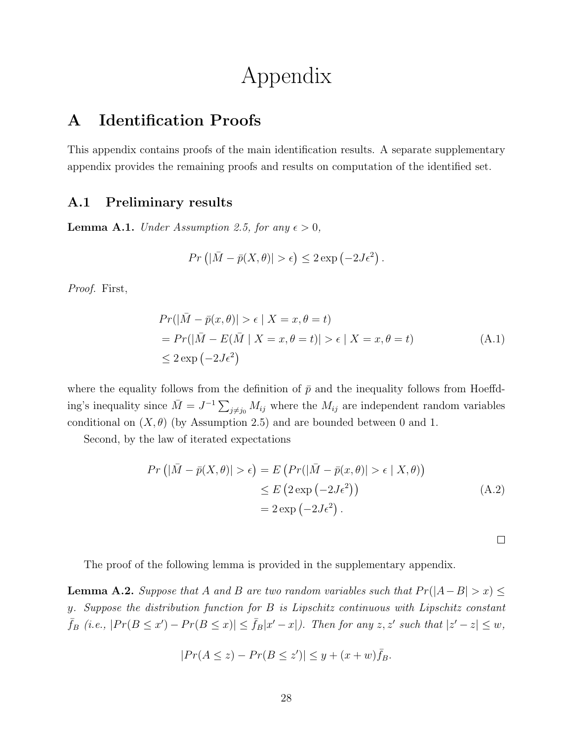# Appendix

# A Identification Proofs

This appendix contains proofs of the main identification results. A separate supplementary appendix provides the remaining proofs and results on computation of the identified set.

## A.1 Preliminary results

**Lemma A.1.** Under Assumption 2.5, for any  $\epsilon > 0$ ,

$$
Pr\left(|\bar{M}-\bar{p}(X,\theta)|>\epsilon\right)\leq 2\exp\left(-2J\epsilon^2\right).
$$

Proof. First,

$$
Pr(|\bar{M} - \bar{p}(x, \theta)| > \epsilon | X = x, \theta = t)
$$
  
= 
$$
Pr(|\bar{M} - E(\bar{M} | X = x, \theta = t)| > \epsilon | X = x, \theta = t)
$$
  

$$
\leq 2 \exp(-2J\epsilon^{2})
$$
 (A.1)

where the equality follows from the definition of  $\bar{p}$  and the inequality follows from Hoeffding's inequality since  $\bar{M} = J^{-1} \sum_{j \neq j_0} M_{ij}$  where the  $M_{ij}$  are independent random variables conditional on  $(X, \theta)$  (by Assumption 2.5) and are bounded between 0 and 1.

Second, by the law of iterated expectations

$$
Pr(|\bar{M} - \bar{p}(X, \theta)| > \epsilon) = E\left(Pr(|\bar{M} - \bar{p}(x, \theta)| > \epsilon | X, \theta)\right)
$$
  
\n
$$
\leq E\left(2 \exp(-2J\epsilon^2)\right)
$$
  
\n
$$
= 2 \exp(-2J\epsilon^2).
$$
 (A.2)

 $\Box$ 

The proof of the following lemma is provided in the supplementary appendix.

**Lemma A.2.** Suppose that A and B are two random variables such that  $Pr(|A-B| > x) \le$ y. Suppose the distribution function for B is Lipschitz continuous with Lipschitz constant  $\bar{f}_B$  (i.e.,  $|Pr(B \le x') - Pr(B \le x)| \le \bar{f}_B|x'-x|$ ). Then for any  $z, z'$  such that  $|z'-z| \le w$ ,

$$
|Pr(A \le z) - Pr(B \le z')| \le y + (x+w)\bar{f}_B.
$$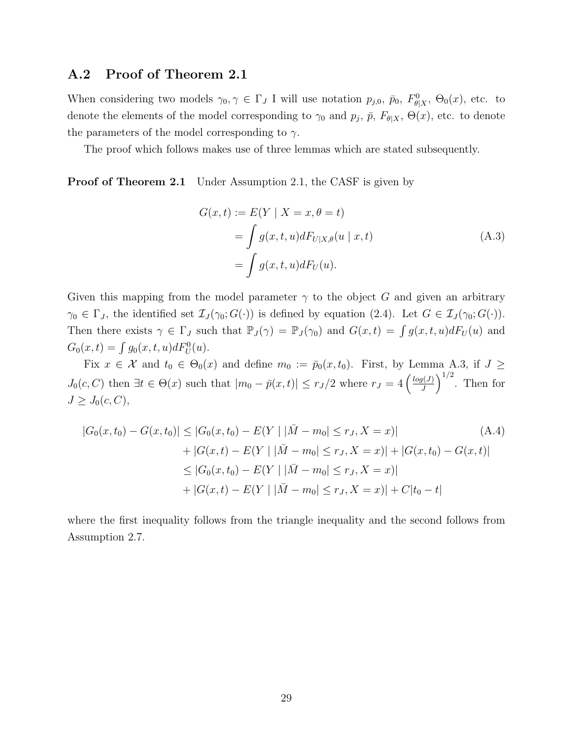## A.2 Proof of Theorem 2.1

When considering two models  $\gamma_0, \gamma \in \Gamma_J$  I will use notation  $p_{j,0}, p_0, F_{\theta|X}^0$ ,  $\Theta_0(x)$ , etc. to denote the elements of the model corresponding to  $\gamma_0$  and  $p_j$ ,  $\bar{p}$ ,  $F_{\theta|X}$ ,  $\Theta(x)$ , etc. to denote the parameters of the model corresponding to  $\gamma$ .

The proof which follows makes use of three lemmas which are stated subsequently.

**Proof of Theorem 2.1** Under Assumption 2.1, the CASF is given by

$$
G(x,t) := E(Y | X = x, \theta = t)
$$
  
= 
$$
\int g(x,t,u)dF_{U|X,\theta}(u | x, t)
$$
  
= 
$$
\int g(x,t,u)dF_U(u).
$$
 (A.3)

Given this mapping from the model parameter  $\gamma$  to the object G and given an arbitrary  $\gamma_0 \in \Gamma_J$ , the identified set  $\mathcal{I}_J(\gamma_0; G(\cdot))$  is defined by equation (2.4). Let  $G \in \mathcal{I}_J(\gamma_0; G(\cdot))$ . Then there exists  $\gamma \in \Gamma_J$  such that  $\mathbb{P}_J(\gamma) = \mathbb{P}_J(\gamma_0)$  and  $G(x,t) = \int g(x,t,u)dF_U(u)$  and  $G_0(x,t) = \int g_0(x,t,u)dF_U^0(u).$ 

Fix  $x \in \mathcal{X}$  and  $t_0 \in \Theta_0(x)$  and define  $m_0 := \bar{p}_0(x, t_0)$ . First, by Lemma A.3, if  $J \geq$  $J_0(c, C)$  then  $\exists t \in \Theta(x)$  such that  $|m_0 - \bar{p}(x, t)| \leq r_J/2$  where  $r_J = 4 \left(\frac{log(J)}{J}\right)$  $\frac{g(J)}{J}$ <sup>1/2</sup>. Then for  $J \geq J_0(c, C),$ 

$$
|G_0(x, t_0) - G(x, t_0)| \le |G_0(x, t_0) - E(Y | |\bar{M} - m_0| \le r_J, X = x)|
$$
\n
$$
+ |G(x, t) - E(Y | |\bar{M} - m_0| \le r_J, X = x)| + |G(x, t_0) - G(x, t)|
$$
\n
$$
\le |G_0(x, t_0) - E(Y | |\bar{M} - m_0| \le r_J, X = x)|
$$
\n
$$
+ |G(x, t) - E(Y | |\bar{M} - m_0| \le r_J, X = x)| + C|t_0 - t|
$$
\n(4.4)

where the first inequality follows from the triangle inequality and the second follows from Assumption 2.7.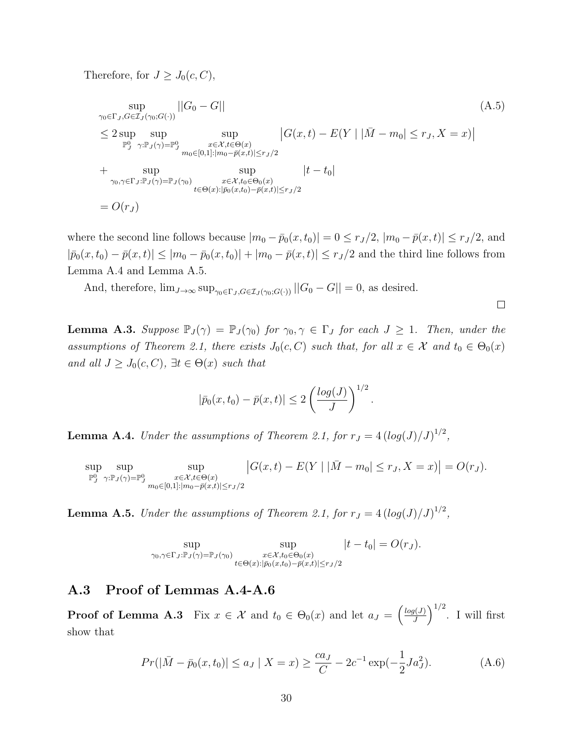Therefore, for  $J \geq J_0(c, C)$ ,

$$
\sup_{\gamma_0 \in \Gamma_J, G \in \mathcal{I}_J(\gamma_0; G(\cdot))} ||G_0 - G||
$$
\n
$$
\leq 2 \sup_{\mathbb{P}_J^0} \sup_{\gamma: \mathbb{P}_J(\gamma) = \mathbb{P}_J^0} \sup_{\substack{x \in \mathcal{X}, t \in \Theta(x) \\ m_0 \in [0, 1]: |m_0 - \bar{p}(x, t)| \leq r_J/2}} |G(x, t) - E(Y | |\bar{M} - m_0| \leq r_J, X = x)|
$$
\n
$$
+ \sup_{\gamma_0, \gamma \in \Gamma_J: \mathbb{P}_J(\gamma) = \mathbb{P}_J(\gamma_0)} \sup_{\substack{x \in \mathcal{X}, t_0 \in \Theta_0(x) \\ t \in \Theta(x): |\bar{p}_0(x, t_0) - \bar{p}(x, t)| \leq r_J/2}} |t - t_0|
$$
\n
$$
= O(r_J)
$$
\n
$$
(A.5)
$$
\n
$$
(A.5)
$$

where the second line follows because  $|m_0 - \bar{p}_0(x, t_0)| = 0 \le r_J/2$ ,  $|m_0 - \bar{p}(x, t)| \le r_J/2$ , and  $|\bar{p}_0(x, t_0) - \bar{p}(x, t)| \leq |m_0 - \bar{p}_0(x, t_0)| + |m_0 - \bar{p}(x, t)| \leq r_J/2$  and the third line follows from Lemma A.4 and Lemma A.5.

And, therefore,  $\lim_{J\to\infty} \sup_{\gamma_0 \in \Gamma_I, G \in \mathcal{I}_I(\gamma_0; G(\cdot))} ||G_0 - G|| = 0$ , as desired.

 $\Box$ 

**Lemma A.3.** Suppose  $\mathbb{P}_J(\gamma) = \mathbb{P}_J(\gamma_0)$  for  $\gamma_0, \gamma \in \Gamma_J$  for each  $J \geq 1$ . Then, under the assumptions of Theorem 2.1, there exists  $J_0(c, C)$  such that, for all  $x \in \mathcal{X}$  and  $t_0 \in \Theta_0(x)$ and all  $J \geq J_0(c, C)$ ,  $\exists t \in \Theta(x)$  such that

$$
|\bar{p}_0(x,t_0) - \bar{p}(x,t)| \leq 2\left(\frac{\log(J)}{J}\right)^{1/2}.
$$

**Lemma A.4.** Under the assumptions of Theorem 2.1, for  $r_J = 4 \left(\frac{\log(J)}{J}\right)^{1/2}$ ,

sup  $\mathbb{P}^0_J$ sup  $\gamma: \mathbb{P}_J(\gamma) = \mathbb{P}_J^0$ sup  $x \in \mathcal{X}, t \in \Theta(x)$  $m_0 \in [0,1]: |m_0-\bar{p}(x,t)| \leq r_J/2$  $|G(x,t) - E(Y | |\bar{M} - m_0| \le r_J, X = x)| = O(r_J).$ 

**Lemma A.5.** Under the assumptions of Theorem 2.1, for  $r_J = 4 \left(\frac{\log(J)}{J}\right)^{1/2}$ ,

$$
\sup_{\gamma_0,\gamma \in \Gamma_J:\mathbb{P}_J(\gamma)=\mathbb{P}_J(\gamma_0)} \sup_{\substack{x \in \mathcal{X}, t_0 \in \Theta_0(x) \\ t \in \Theta(x): |\bar{p}_0(x,t_0)-\bar{p}(x,t)| \le r_J/2}} |t-t_0| = O(r_J).
$$

## A.3 Proof of Lemmas A.4-A.6

**Proof of Lemma A.3** Fix  $x \in \mathcal{X}$  and  $t_0 \in \Theta_0(x)$  and let  $a_J = \begin{pmatrix} \frac{\log(J)}{J} \end{pmatrix}$  $\left(\frac{g(J)}{J}\right)^{1/2}$ . I will first show that

$$
Pr(|\bar{M} - \bar{p}_0(x, t_0)| \le a_J | X = x) \ge \frac{ca_J}{C} - 2c^{-1} \exp(-\frac{1}{2}Ja_J^2). \tag{A.6}
$$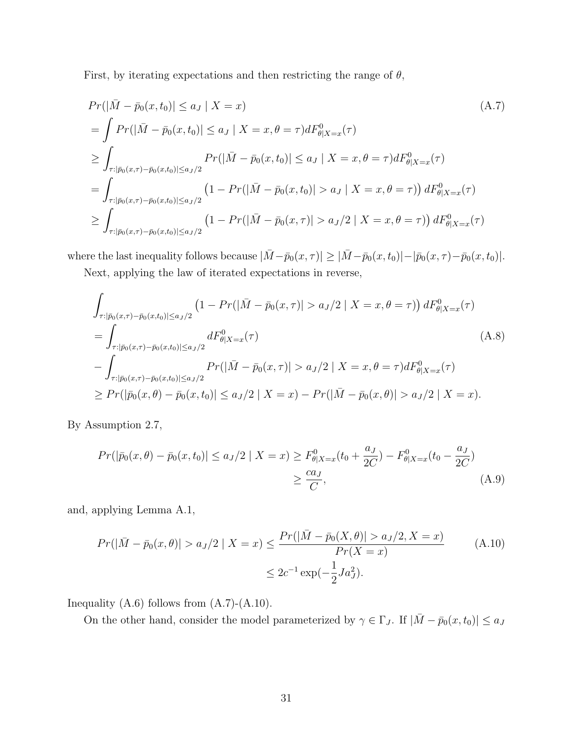First, by iterating expectations and then restricting the range of  $\theta$ ,

$$
Pr(|\bar{M} - \bar{p}_0(x, t_0)| \le a_J | X = x)
$$
\n
$$
= \int Pr(|\bar{M} - \bar{p}_0(x, t_0)| \le a_J | X = x, \theta = \tau) dF_{\theta|X=x}^0(\tau)
$$
\n
$$
\ge \int_{\tau : |\bar{p}_0(x, \tau) - \bar{p}_0(x, t_0)| \le a_J/2} Pr(|\bar{M} - \bar{p}_0(x, t_0)| \le a_J | X = x, \theta = \tau) dF_{\theta|X=x}^0(\tau)
$$
\n
$$
= \int_{\tau : |\bar{p}_0(x, \tau) - \bar{p}_0(x, t_0)| \le a_J/2} (1 - Pr(|\bar{M} - \bar{p}_0(x, t_0)| > a_J | X = x, \theta = \tau)) dF_{\theta|X=x}^0(\tau)
$$
\n
$$
\ge \int_{\tau : |\bar{p}_0(x, \tau) - \bar{p}_0(x, t_0)| \le a_J/2} (1 - Pr(|\bar{M} - \bar{p}_0(x, \tau)| > a_J/2 | X = x, \theta = \tau)) dF_{\theta|X=x}^0(\tau)
$$
\n
$$
(A.7)
$$

where the last inequality follows because  $|\bar{M} - \bar{p}_0(x, \tau)| \geq |\bar{M} - \bar{p}_0(x, t_0)| - |\bar{p}_0(x, \tau) - \bar{p}_0(x, t_0)|$ .

Next, applying the law of iterated expectations in reverse,

$$
\int_{\tau:|\bar{p}_0(x,\tau)-\bar{p}_0(x,t_0)|\le a_J/2} \left(1 - \Pr(|\bar{M}-\bar{p}_0(x,\tau)|> a_J/2 \mid X=x,\theta=\tau)\right) dF_{\theta|X=x}^0(\tau)
$$
\n
$$
= \int_{\tau:|\bar{p}_0(x,\tau)-\bar{p}_0(x,t_0)|\le a_J/2} dF_{\theta|X=x}^0(\tau)
$$
\n
$$
- \int_{\tau:|\bar{p}_0(x,\tau)-\bar{p}_0(x,t_0)|\le a_J/2} \Pr(|\bar{M}-\bar{p}_0(x,\tau)|> a_J/2 \mid X=x,\theta=\tau) dF_{\theta|X=x}^0(\tau)
$$
\n
$$
\ge \Pr(|\bar{p}_0(x,\theta)-\bar{p}_0(x,t_0)|\le a_J/2 \mid X=x) - \Pr(|\bar{M}-\bar{p}_0(x,\theta)|> a_J/2 \mid X=x).
$$
\n(A.8)

By Assumption 2.7,

$$
Pr(|\bar{p}_0(x,\theta) - \bar{p}_0(x,t_0)| \le a_J/2 \mid X = x) \ge F_{\theta|X=x}^0(t_0 + \frac{a_J}{2C}) - F_{\theta|X=x}^0(t_0 - \frac{a_J}{2C})
$$
  

$$
\ge \frac{ca_J}{C}, \tag{A.9}
$$

and, applying Lemma A.1,

$$
Pr(|\bar{M} - \bar{p}_0(x, \theta)| > a_J/2 | X = x) \le \frac{Pr(|\bar{M} - \bar{p}_0(X, \theta)| > a_J/2, X = x)}{Pr(X = x)} \tag{A.10}
$$

$$
\le 2c^{-1} \exp(-\frac{1}{2}Ja_J^2).
$$

Inequality  $(A.6)$  follows from  $(A.7)-(A.10)$ .

On the other hand, consider the model parameterized by  $\gamma \in \Gamma_J$ . If  $|\bar{M} - \bar{p}_0(x, t_0)| \le a_J$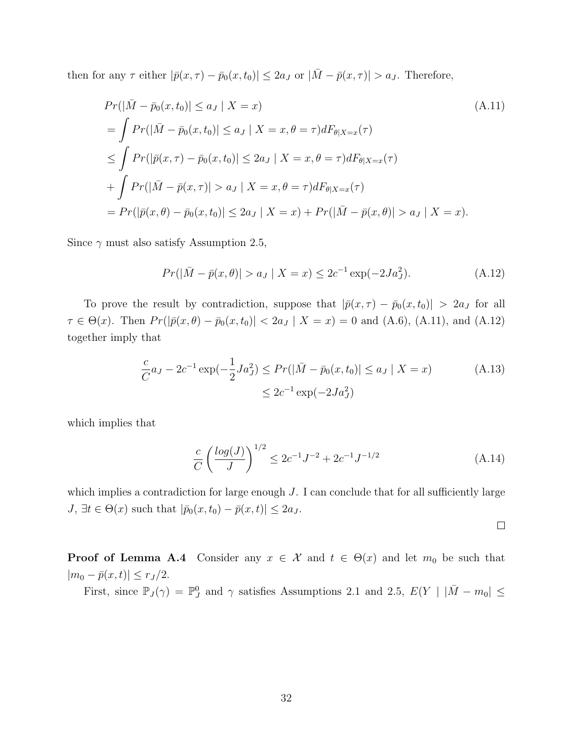then for any  $\tau$  either  $|\bar{p}(x,\tau) - \bar{p}_0(x,t_0)| \leq 2a_J$  or  $|\bar{M} - \bar{p}(x,\tau)| > a_J$ . Therefore,

$$
Pr(|\bar{M} - \bar{p}_0(x, t_0)| \le a_J | X = x)
$$
\n
$$
= \int Pr(|\bar{M} - \bar{p}_0(x, t_0)| \le a_J | X = x, \theta = \tau) dF_{\theta|X=x}(\tau)
$$
\n
$$
\le \int Pr(|\bar{p}(x, \tau) - \bar{p}_0(x, t_0)| \le 2a_J | X = x, \theta = \tau) dF_{\theta|X=x}(\tau)
$$
\n
$$
+ \int Pr(|\bar{M} - \bar{p}(x, \tau)| > a_J | X = x, \theta = \tau) dF_{\theta|X=x}(\tau)
$$
\n
$$
= Pr(|\bar{p}(x, \theta) - \bar{p}_0(x, t_0)| \le 2a_J | X = x) + Pr(|\bar{M} - \bar{p}(x, \theta)| > a_J | X = x).
$$
\n(A.11)

Since  $\gamma$  must also satisfy Assumption 2.5,

$$
Pr(|\bar{M} - \bar{p}(x, \theta)| > a_J | X = x) \le 2c^{-1} \exp(-2Ja_J^2). \tag{A.12}
$$

To prove the result by contradiction, suppose that  $|\bar{p}(x, \tau) - \bar{p}_0(x, t_0)| > 2a_J$  for all  $\tau \in \Theta(x)$ . Then  $Pr(|\bar{p}(x,\theta) - \bar{p}_0(x,t_0)| < 2a_J | X = x) = 0$  and (A.6), (A.11), and (A.12) together imply that

$$
\frac{c}{C}a_J - 2c^{-1}\exp(-\frac{1}{2}Ja_J^2) \le Pr(|\bar{M} - \bar{p}_0(x, t_0)| \le a_J |X = x)
$$
\n
$$
\le 2c^{-1}\exp(-2Ja_J^2)
$$
\n(A.13)

which implies that

$$
\frac{c}{C} \left( \frac{\log(J)}{J} \right)^{1/2} \le 2c^{-1}J^{-2} + 2c^{-1}J^{-1/2}
$$
\n(A.14)

which implies a contradiction for large enough  $J$ . I can conclude that for all sufficiently large  $J, \exists t \in \Theta(x)$  such that  $|\bar{p}_0(x, t_0) - \bar{p}(x, t)| \leq 2a_J$ .

 $\Box$ 

**Proof of Lemma A.4** Consider any  $x \in \mathcal{X}$  and  $t \in \Theta(x)$  and let  $m_0$  be such that  $|m_0 - \bar{p}(x, t)| \le r_J/2.$ 

First, since  $\mathbb{P}_J(\gamma) = \mathbb{P}_J^0$  and  $\gamma$  satisfies Assumptions 2.1 and 2.5,  $E(Y | |\bar{M} - m_0| \leq$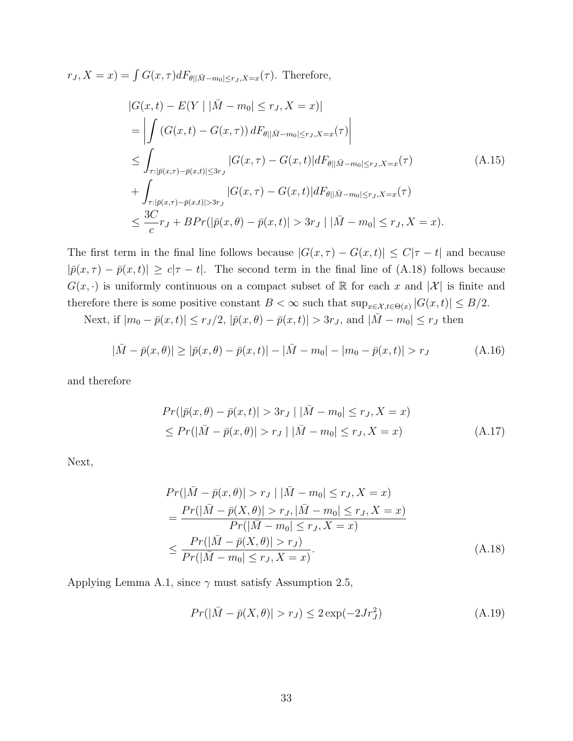$r_J, X = x$ ) =  $\int G(x, \tau) dF_{\theta ||\bar{M} - m_0| \leq r_J, X = x}(\tau)$ . Therefore,

$$
|G(x,t) - E(Y | |\bar{M} - m_0| \le r_J, X = x)|
$$
  
\n
$$
= \left| \int (G(x,t) - G(x,\tau)) dF_{\theta ||\bar{M} - m_0| \le r_J, X = x}(\tau) \right|
$$
  
\n
$$
\le \int_{\tau : |\bar{p}(x,\tau) - \bar{p}(x,t)| \le 3r_J} |G(x,\tau) - G(x,t)| dF_{\theta ||\bar{M} - m_0| \le r_J, X = x}(\tau)
$$
  
\n
$$
+ \int_{\tau : |\bar{p}(x,\tau) - \bar{p}(x,t)| > 3r_J} |G(x,\tau) - G(x,t)| dF_{\theta ||\bar{M} - m_0| \le r_J, X = x}(\tau)
$$
  
\n
$$
\le \frac{3C}{c} r_J + BPr(|\bar{p}(x,\theta) - \bar{p}(x,t)| > 3r_J | |\bar{M} - m_0| \le r_J, X = x).
$$
\n(A.15)

The first term in the final line follows because  $|G(x, \tau) - G(x, t)| \leq C|\tau - t|$  and because  $|\bar{p}(x,\tau) - \bar{p}(x,t)| \geq c|\tau - t|$ . The second term in the final line of (A.18) follows because  $G(x, \cdot)$  is uniformly continuous on a compact subset of R for each x and  $|\mathcal{X}|$  is finite and therefore there is some positive constant  $B < \infty$  such that  $\sup_{x \in \mathcal{X}, t \in \Theta(x)} |G(x, t)| \leq B/2$ .

Next, if  $|m_0 - \bar{p}(x, t)| \le r_J/2$ ,  $|\bar{p}(x, \theta) - \bar{p}(x, t)| > 3r_J$ , and  $|\bar{M} - m_0| \le r_J$  then

$$
|\bar{M} - \bar{p}(x,\theta)| \ge |\bar{p}(x,\theta) - \bar{p}(x,t)| - |\bar{M} - m_0| - |m_0 - \bar{p}(x,t)| > r_J
$$
\n(A.16)

and therefore

$$
Pr(|\bar{p}(x,\theta) - \bar{p}(x,t)| > 3r_J | |\bar{M} - m_0| \le r_J, X = x)
$$
  
\n
$$
\le Pr(|\bar{M} - \bar{p}(x,\theta)| > r_J | |\bar{M} - m_0| \le r_J, X = x)
$$
\n(A.17)

Next,

$$
Pr(|\bar{M} - \bar{p}(x, \theta)| > r_J | |\bar{M} - m_0| \le r_J, X = x)
$$
  
= 
$$
\frac{Pr(|\bar{M} - \bar{p}(X, \theta)| > r_J, |\bar{M} - m_0| \le r_J, X = x)}{Pr(|\bar{M} - m_0| \le r_J, X = x)}
$$
  

$$
\le \frac{Pr(|\bar{M} - \bar{p}(X, \theta)| > r_J)}{Pr(|\bar{M} - m_0| \le r_J, X = x)}.
$$
 (A.18)

Applying Lemma A.1, since  $\gamma$  must satisfy Assumption 2.5,

$$
Pr(|\bar{M} - \bar{p}(X, \theta)| > r_J) \le 2 \exp(-2Jr_J^2)
$$
\n(A.19)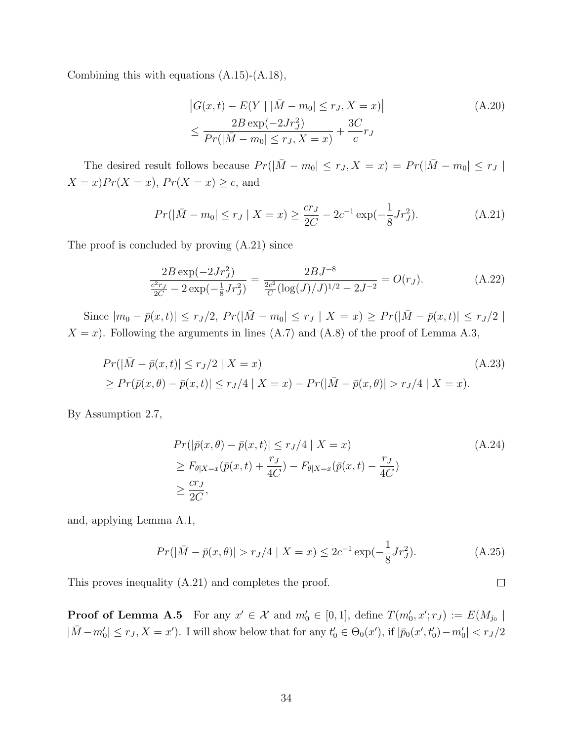Combining this with equations (A.15)-(A.18),

$$
|G(x,t) - E(Y | |\bar{M} - m_0| \le r_J, X = x)|
$$
  
\n
$$
\le \frac{2B \exp(-2Jr_J^2)}{Pr(|\bar{M} - m_0| \le r_J, X = x)} + \frac{3C}{c}r_J
$$
\n(A.20)

The desired result follows because  $Pr(|\bar{M} - m_0| \le r_J, X = x) = Pr(|\bar{M} - m_0| \le r_J)$  $X = x$ ) $Pr(X = x)$ ,  $Pr(X = x) \ge c$ , and

$$
Pr(|\bar{M} - m_0| \le r_J | X = x) \ge \frac{cr_J}{2C} - 2c^{-1} \exp(-\frac{1}{8}Jr_J^2). \tag{A.21}
$$

The proof is concluded by proving (A.21) since

$$
\frac{2B\exp(-2Jr_J^2)}{\frac{c^2r_J}{2C} - 2\exp(-\frac{1}{8}Jr_J^2)} = \frac{2BJ^{-8}}{\frac{2c^2}{C}(\log(J)/J)^{1/2} - 2J^{-2}} = O(r_J).
$$
\n(A.22)

Since  $|m_0 - \bar{p}(x, t)| \le r_J/2$ ,  $Pr(|\bar{M} - m_0| \le r_J | X = x) \ge Pr(|\bar{M} - \bar{p}(x, t)| \le r_J/2$  $X = x$ ). Following the arguments in lines (A.7) and (A.8) of the proof of Lemma A.3,

$$
Pr(|\bar{M} - \bar{p}(x, t)| \le r_J/2 | X = x)
$$
  
\n
$$
\ge Pr(\bar{p}(x, \theta) - \bar{p}(x, t)| \le r_J/4 | X = x) - Pr(|\bar{M} - \bar{p}(x, \theta)| > r_J/4 | X = x).
$$
\n(A.23)

By Assumption 2.7,

$$
Pr(|\bar{p}(x,\theta) - \bar{p}(x,t)| \le r_J/4 | X = x)
$$
  
\n
$$
\ge F_{\theta|X=x}(\bar{p}(x,t) + \frac{r_J}{4C}) - F_{\theta|X=x}(\bar{p}(x,t) - \frac{r_J}{4C})
$$
  
\n
$$
\ge \frac{cr_J}{2C},
$$
\n(A.24)

and, applying Lemma A.1,

$$
Pr(|\bar{M} - \bar{p}(x, \theta)| > r_J/4 \mid X = x) \le 2c^{-1} \exp(-\frac{1}{8}Jr_J^2). \tag{A.25}
$$

 $\Box$ 

This proves inequality (A.21) and completes the proof.

**Proof of Lemma A.5** For any  $x' \in \mathcal{X}$  and  $m'_0 \in [0,1]$ , define  $T(m'_0, x'; r_J) := E(M_{j_0} |$  $|\bar{M} - m'_0| \le r_J, X = x'$ ). I will show below that for any  $t'_0 \in \Theta_0(x')$ , if  $|\bar{p}_0(x', t'_0) - m'_0| < r_J/2$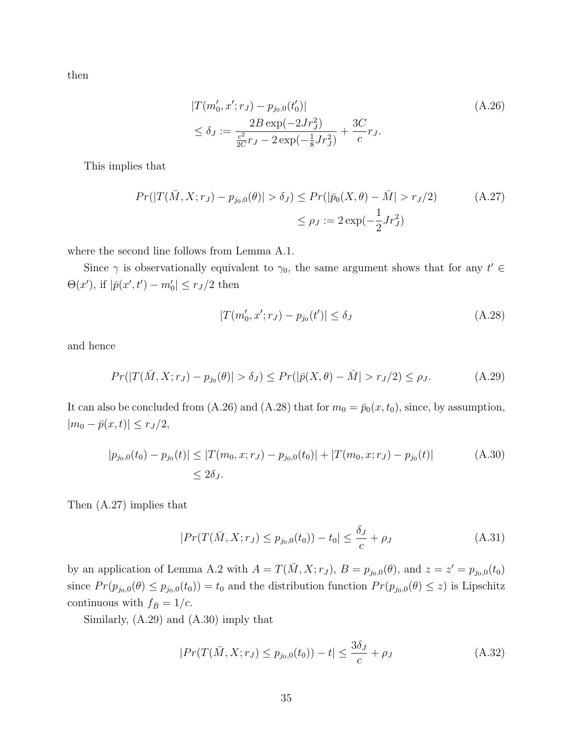then

$$
|T(m'_0, x'; r_J) - p_{j_0,0}(t'_0)|
$$
  
\n
$$
\leq \delta_J := \frac{2B \exp(-2Jr_J^2)}{\frac{c^2}{2C}r_J - 2\exp(-\frac{1}{8}Jr_J^2)} + \frac{3C}{c}r_J.
$$
\n(A.26)

This implies that

$$
Pr(|T(\bar{M}, X; r_J) - p_{j_0,0}(\theta)| > \delta_J) \le Pr(|\bar{p}_0(X, \theta) - \bar{M}| > r_J/2)
$$
\n
$$
\le \rho_J := 2 \exp(-\frac{1}{2}Jr_J^2)
$$
\n(A.27)

where the second line follows from Lemma A.1.

Since  $\gamma$  is observationally equivalent to  $\gamma_0$ , the same argument shows that for any  $t' \in$  $\Theta(x')$ , if  $|\bar{p}(x', t') - m'_0| \le r_J/2$  then

$$
|T(m'_0, x'; r_J) - p_{j_0}(t')| \le \delta_J \tag{A.28}
$$

and hence

$$
Pr(|T(\bar{M}, X; r_J) - p_{j_0}(\theta)| > \delta_J) \le Pr(|\bar{p}(X, \theta) - \bar{M}| > r_J/2) \le \rho_J.
$$
 (A.29)

It can also be concluded from (A.26) and (A.28) that for  $m_0 = \bar{p}_0(x, t_0)$ , since, by assumption,  $|m_0 - \bar{p}(x, t)| \leq r_J/2,$ 

$$
|p_{j_0,0}(t_0) - p_{j_0}(t)| \le |T(m_0, x; r_J) - p_{j_0,0}(t_0)| + |T(m_0, x; r_J) - p_{j_0}(t)|
$$
(A.30)  

$$
\le 2\delta_J.
$$

Then (A.27) implies that

$$
|Pr(T(\bar{M}, X; r_J) \le p_{j_0,0}(t_0)) - t_0| \le \frac{\delta_J}{c} + \rho_J
$$
\n(A.31)

by an application of Lemma A.2 with  $A = T(\bar{M}, X; r_J)$ ,  $B = p_{j_0,0}(\theta)$ , and  $z = z' = p_{j_0,0}(t_0)$ since  $Pr(p_{j_0,0}(\theta) \leq p_{j_0,0}(t_0)) = t_0$  and the distribution function  $Pr(p_{j_0,0}(\theta) \leq z)$  is Lipschitz continuous with  $f_{\bar{B}} = 1/c$ .

Similarly, (A.29) and (A.30) imply that

$$
|Pr(T(\bar{M}, X; r_J) \le p_{j_0,0}(t_0)) - t| \le \frac{3\delta_J}{c} + \rho_J
$$
\n(A.32)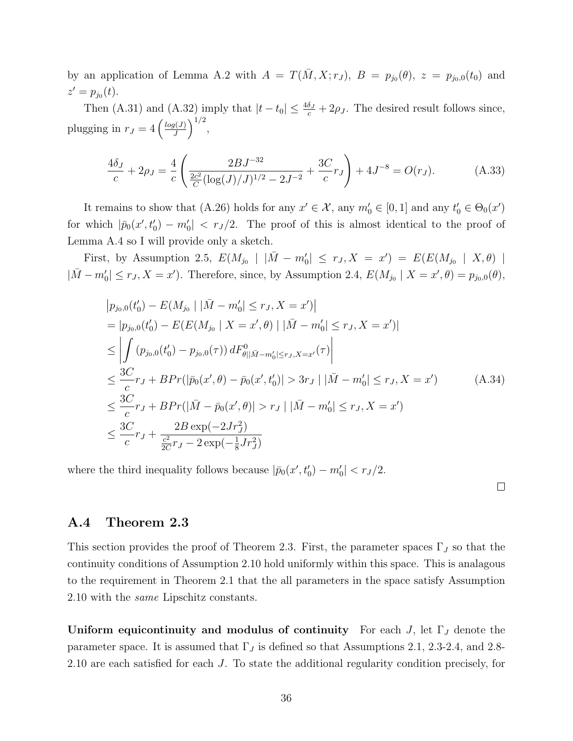by an application of Lemma A.2 with  $A = T(\bar{M}, X; r_J)$ ,  $B = p_{j_0}(\theta)$ ,  $z = p_{j_0,0}(t_0)$  and  $z' = p_{j_0}(t)$ .

Then (A.31) and (A.32) imply that  $|t-t_0| \leq \frac{4\delta_J}{c} + 2\rho_J$ . The desired result follows since, plugging in  $r_J = 4 \left( \frac{log(J)}{J} \right)$  $\frac{g(J)}{J}\bigg)^{1/2},$ 

$$
\frac{4\delta_J}{c} + 2\rho_J = \frac{4}{c} \left( \frac{2BJ^{-32}}{\frac{2c^2}{C} (\log(J)/J)^{1/2} - 2J^{-2}} + \frac{3C}{c} r_J \right) + 4J^{-8} = O(r_J).
$$
 (A.33)

It remains to show that (A.26) holds for any  $x' \in \mathcal{X}$ , any  $m'_0 \in [0,1]$  and any  $t'_0 \in \Theta_0(x')$ for which  $|\bar{p}_0(x', t_0') - m_0'| < r_J/2$ . The proof of this is almost identical to the proof of Lemma A.4 so I will provide only a sketch.

First, by Assumption 2.5,  $E(M_{j_0} | |\bar{M} - m'_0| \le r_J, X = x') = E(E(M_{j_0} | X, \theta) |$  $|\bar{M}-m'_0| \leq r_J, X = x'$ ). Therefore, since, by Assumption 2.4,  $E(M_{j_0} | X = x', \theta) = p_{j_0,0}(\theta)$ ,

$$
|p_{j_0,0}(t'_0) - E(M_{j_0} | |\bar{M} - m'_0| \le r_J, X = x')|
$$
  
\n
$$
= |p_{j_0,0}(t'_0) - E(E(M_{j_0} | X = x', \theta) | |\bar{M} - m'_0| \le r_J, X = x')|
$$
  
\n
$$
\le \left| \int (p_{j_0,0}(t'_0) - p_{j_0,0}(\tau)) dF_{\theta ||\bar{M} - m'_0| \le r_J, X = x'}^{0}(\tau) \right|
$$
  
\n
$$
\le \frac{3C}{c} r_J + B Pr(|\bar{p}_0(x', \theta) - \bar{p}_0(x', t'_0)| > 3r_J | |\bar{M} - m'_0| \le r_J, X = x') \qquad (A.34)
$$
  
\n
$$
\le \frac{3C}{c} r_J + B Pr(|\bar{M} - \bar{p}_0(x', \theta)| > r_J | |\bar{M} - m'_0| \le r_J, X = x')
$$
  
\n
$$
\le \frac{3C}{c} r_J + \frac{2B \exp(-2Jr_J^2)}{\frac{c^2}{2C} r_J - 2 \exp(-\frac{1}{8}Jr_J^2)}
$$

where the third inequality follows because  $|\bar{p}_0(x', t'_0) - m'_0| < r_J/2$ .

 $\Box$ 

### A.4 Theorem 2.3

This section provides the proof of Theorem 2.3. First, the parameter spaces  $\Gamma_J$  so that the continuity conditions of Assumption 2.10 hold uniformly within this space. This is analagous to the requirement in Theorem 2.1 that the all parameters in the space satisfy Assumption 2.10 with the same Lipschitz constants.

Uniform equicontinuity and modulus of continuity For each  $J$ , let  $\Gamma_J$  denote the parameter space. It is assumed that  $\Gamma_J$  is defined so that Assumptions 2.1, 2.3-2.4, and 2.8-2.10 are each satisfied for each J. To state the additional regularity condition precisely, for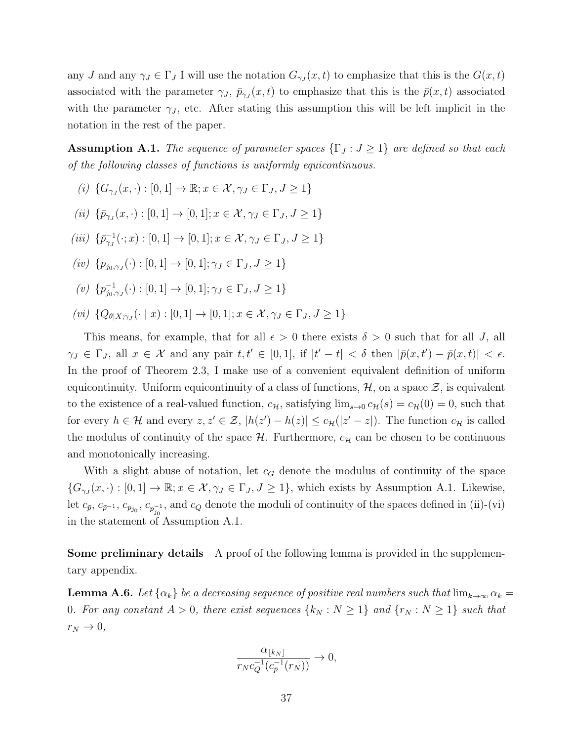any J and any  $\gamma_J \in \Gamma_J$  I will use the notation  $G_{\gamma_J}(x,t)$  to emphasize that this is the  $G(x,t)$ associated with the parameter  $\gamma_J$ ,  $\bar{p}_{\gamma_J}(x,t)$  to emphasize that this is the  $\bar{p}(x,t)$  associated with the parameter  $\gamma_J$ , etc. After stating this assumption this will be left implicit in the notation in the rest of the paper.

**Assumption A.1.** The sequence of parameter spaces  $\{\Gamma_J : J \geq 1\}$  are defined so that each of the following classes of functions is uniformly equicontinuous.

- (i)  $\{G_{\gamma J}(x, \cdot): [0,1] \to \mathbb{R}; x \in \mathcal{X}, \gamma J \in \Gamma_J, J \geq 1\}$
- (ii)  $\{\bar{p}_{\gamma_J}(x, \cdot): [0, 1] \to [0, 1]; x \in \mathcal{X}, \gamma_J \in \Gamma_J, J \geq 1\}$
- (*iii*)  $\{\bar{p}_{\gamma J}^{-1}(\cdot; x) : [0, 1] \to [0, 1]; x \in \mathcal{X}, \gamma J \in \Gamma_J, J \ge 1\}$
- $(iv) \{p_{j_0,\gamma_J}(\cdot): [0,1] \to [0,1]; \gamma_J \in \Gamma_J, J \geq 1\}$
- $(v) \{p_{i_0}^{-1}$  $_{j_0,\gamma_J}^{-1}(\cdot) : [0,1] \to [0,1]; \gamma_J \in \Gamma_J, J \ge 1$
- (vi)  $\{Q_{\theta|X;\gamma_J}(\cdot | x) : [0,1] \to [0,1]; x \in \mathcal{X}, \gamma_J \in \Gamma_J, J \ge 1\}$

This means, for example, that for all  $\epsilon > 0$  there exists  $\delta > 0$  such that for all J, all  $\gamma_J \in \Gamma_J$ , all  $x \in \mathcal{X}$  and any pair  $t, t' \in [0, 1]$ , if  $|t'-t| < \delta$  then  $|\bar{p}(x, t') - \bar{p}(x, t)| < \epsilon$ . In the proof of Theorem 2.3, I make use of a convenient equivalent definition of uniform equicontinuity. Uniform equicontinuity of a class of functions,  $H$ , on a space  $\mathcal{Z}$ , is equivalent to the existence of a real-valued function,  $c_{\mathcal{H}}$ , satisfying  $\lim_{s\to 0} c_{\mathcal{H}}(s) = c_{\mathcal{H}}(0) = 0$ , such that for every  $h \in \mathcal{H}$  and every  $z, z' \in \mathcal{Z}$ ,  $|h(z') - h(z)| \leq c_{\mathcal{H}}(|z' - z|)$ . The function  $c_{\mathcal{H}}$  is called the modulus of continuity of the space  $\mathcal{H}$ . Furthermore,  $c_{\mathcal{H}}$  can be chosen to be continuous and monotonically increasing.

With a slight abuse of notation, let  $c_G$  denote the modulus of continuity of the space  ${G_{\gamma_J}(x, \cdot): [0,1] \to \mathbb{R}; x \in \mathcal{X}, \gamma_J \in \Gamma_J, J \geq 1},$  which exists by Assumption A.1. Likewise, let  $c_{\bar{p}}, c_{\bar{p}-1}, c_{p_{j_0}}, c_{p_{j_0}^{-1}},$  and  $c_Q$  denote the moduli of continuity of the spaces defined in (ii)-(vi) in the statement of Assumption A.1.

Some preliminary details A proof of the following lemma is provided in the supplementary appendix.

**Lemma A.6.** Let  $\{\alpha_k\}$  be a decreasing sequence of positive real numbers such that  $\lim_{k\to\infty} \alpha_k =$ 0. For any constant  $A > 0$ , there exist sequences  $\{k_N : N \geq 1\}$  and  $\{r_N : N \geq 1\}$  such that  $r_N \rightarrow 0,$ 

$$
\frac{\alpha_{\lfloor k_N \rfloor}}{r_N c_Q^{-1}(c_{\bar{p}}^{-1}(r_N))} \to 0,
$$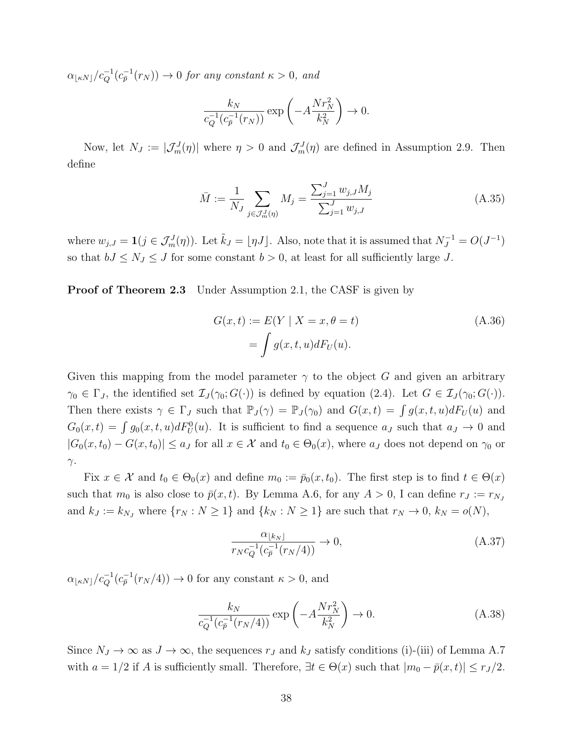$\alpha_{\lfloor \kappa N\rfloor}/c_Q^{-1}(c_p^{-1}(r_N)) \to 0$  for any constant  $\kappa > 0$ , and

$$
\frac{k_N}{c_Q^{-1}(c_{\bar{p}}^{-1}(r_N))} \exp\left(-A\frac{Nr_N^2}{k_N^2}\right) \to 0.
$$

Now, let  $N_J := |\mathcal{J}_m^J(\eta)|$  where  $\eta > 0$  and  $\mathcal{J}_m^J(\eta)$  are defined in Assumption 2.9. Then define

$$
\bar{M} := \frac{1}{N_J} \sum_{j \in \mathcal{J}_m^J(\eta)} M_j = \frac{\sum_{j=1}^J w_{j,J} M_j}{\sum_{j=1}^J w_{j,J}}
$$
(A.35)

where  $w_{j,J} = \mathbf{1}(j \in \mathcal{J}_m^J(\eta))$ . Let  $\tilde{k}_J = \lfloor \eta J \rfloor$ . Also, note that it is assumed that  $N_J^{-1} = O(J^{-1})$ so that  $bJ \le N_J \le J$  for some constant  $b > 0$ , at least for all sufficiently large J.

**Proof of Theorem 2.3** Under Assumption 2.1, the CASF is given by

$$
G(x,t) := E(Y | X = x, \theta = t)
$$
  
= 
$$
\int g(x,t,u)dF_U(u).
$$
 (A.36)

Given this mapping from the model parameter  $\gamma$  to the object G and given an arbitrary  $\gamma_0 \in \Gamma_J$ , the identified set  $\mathcal{I}_J(\gamma_0; G(\cdot))$  is defined by equation (2.4). Let  $G \in \mathcal{I}_J(\gamma_0; G(\cdot))$ . Then there exists  $\gamma \in \Gamma_J$  such that  $\mathbb{P}_J(\gamma) = \mathbb{P}_J(\gamma_0)$  and  $G(x,t) = \int g(x,t,u)dF_U(u)$  and  $G_0(x,t) = \int g_0(x,t,u)dF_U^0(u)$ . It is sufficient to find a sequence  $a_J$  such that  $a_J \to 0$  and  $|G_0(x, t_0) - G(x, t_0)| \le a_J$  for all  $x \in \mathcal{X}$  and  $t_0 \in \Theta_0(x)$ , where  $a_J$  does not depend on  $\gamma_0$  or  $γ.$ 

Fix  $x \in \mathcal{X}$  and  $t_0 \in \Theta_0(x)$  and define  $m_0 := \bar{p}_0(x, t_0)$ . The first step is to find  $t \in \Theta(x)$ such that  $m_0$  is also close to  $\bar{p}(x, t)$ . By Lemma A.6, for any  $A > 0$ , I can define  $r_J := r_{N_J}$ and  $k_J := k_{N_J}$  where  $\{r_N : N \ge 1\}$  and  $\{k_N : N \ge 1\}$  are such that  $r_N \to 0$ ,  $k_N = o(N)$ ,

$$
\frac{\alpha_{\lfloor k_N \rfloor}}{r_N c_Q^{-1} (c_p^{-1} (r_N/4))} \to 0,
$$
\n(A.37)

 $\alpha_{\lfloor \kappa N\rfloor}/c_Q^{-1}(c_{\overline{p}}^{-1}(r_N/4)) \to 0$  for any constant  $\kappa > 0$ , and

$$
\frac{k_N}{c_Q^{-1}(c_{\bar{p}}^{-1}(r_N/4))} \exp\left(-A\frac{Nr_N^2}{k_N^2}\right) \to 0.
$$
 (A.38)

Since  $N_J \to \infty$  as  $J \to \infty$ , the sequences  $r_J$  and  $k_J$  satisfy conditions (i)-(iii) of Lemma A.7 with  $a = 1/2$  if A is sufficiently small. Therefore,  $\exists t \in \Theta(x)$  such that  $|m_0 - \bar{p}(x, t)| \le r_J/2$ .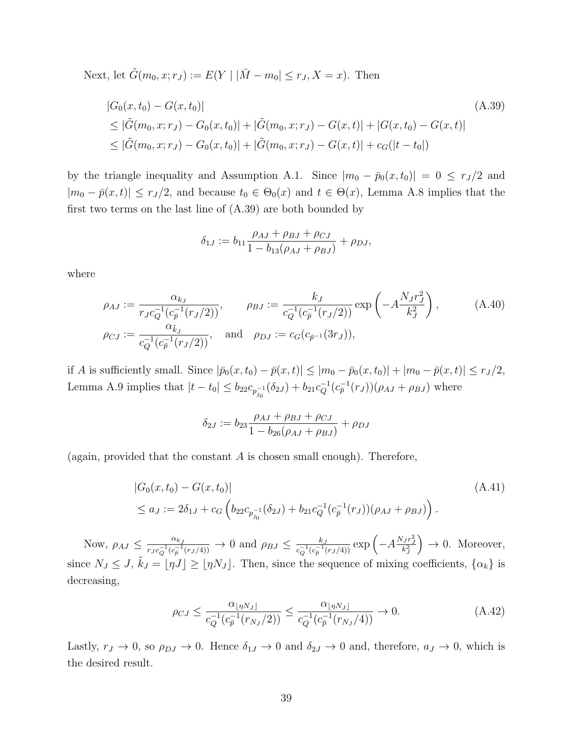Next, let  $\tilde{G}(m_0, x; r_J) := E(Y | |\bar{M} - m_0| \le r_J, X = x)$ . Then

$$
|G_0(x, t_0) - G(x, t_0)|
$$
\n
$$
\leq |\tilde{G}(m_0, x; r_J) - G_0(x, t_0)| + |\tilde{G}(m_0, x; r_J) - G(x, t)| + |G(x, t_0) - G(x, t)|
$$
\n
$$
\leq |\tilde{G}(m_0, x; r_J) - G_0(x, t_0)| + |\tilde{G}(m_0, x; r_J) - G(x, t)| + c_G(|t - t_0|)
$$
\n(A.39)

by the triangle inequality and Assumption A.1. Since  $|m_0 - \bar{p}_0(x, t_0)| = 0 \leq r_J/2$  and  $|m_0 - \bar{p}(x, t)| \le r_J/2$ , and because  $t_0 \in \Theta_0(x)$  and  $t \in \Theta(x)$ , Lemma A.8 implies that the first two terms on the last line of  $(A.39)$  are both bounded by

$$
\delta_{1J} := b_{11} \frac{\rho_{AJ} + \rho_{BJ} + \rho_{CJ}}{1 - b_{13}(\rho_{AJ} + \rho_{BJ})} + \rho_{DJ},
$$

where

$$
\rho_{AJ} := \frac{\alpha_{k_J}}{r_J c_Q^{-1} (c_{\bar{p}}^{-1}(r_J/2))}, \qquad \rho_{BJ} := \frac{k_J}{c_Q^{-1} (c_{\bar{p}}^{-1}(r_J/2))} \exp\left(-A\frac{N_J r_J^2}{k_J^2}\right),
$$
\n
$$
\rho_{CJ} := \frac{\alpha_{\tilde{k}_J}}{c_Q^{-1} (c_{\bar{p}}^{-1}(r_J/2))}, \qquad \text{and} \quad \rho_{DJ} := c_G(c_{\bar{p}^{-1}}(3r_J)),
$$
\n(A.40)

if A is sufficiently small. Since  $|\bar{p}_0(x, t_0) - \bar{p}(x, t)| \leq |m_0 - \bar{p}_0(x, t_0)| + |m_0 - \bar{p}(x, t)| \leq r_J/2$ , Lemma A.9 implies that  $|t-t_0| \leq b_{22} c_{p_{j_0}^{-1}}(\delta_{2J}) + b_{21} c_Q^{-1} (c_{\bar{p}}^{-1}(r_J))(\rho_{AJ} + \rho_{BJ})$  where

$$
\delta_{2J} := b_{23} \frac{\rho_{AJ} + \rho_{BJ} + \rho_{CJ}}{1 - b_{26}(\rho_{AJ} + \rho_{BJ})} + \rho_{DJ}
$$

(again, provided that the constant  $A$  is chosen small enough). Therefore,

$$
|G_0(x, t_0) - G(x, t_0)|
$$
  
\n
$$
\leq a_J := 2\delta_{1J} + c_G \left( b_{22} c_{p_{j_0}^{-1}}(\delta_{2J}) + b_{21} c_Q^{-1} (c_{\bar{p}}^{-1}(r_J)) (\rho_{AJ} + \rho_{BJ}) \right).
$$
\n(A.41)

Now,  $\rho_{AJ} \leq \frac{\alpha_{k,j}}{r}$  $\frac{\alpha_{k,j}}{r_J c_Q^{-1} (c_p^{-1}(r_J/4))} \to 0$  and  $\rho_{BJ} \leq \frac{k_J}{c_Q^{-1} (c_p^{-1}(r_J/4))}$  $\frac{k_J}{c_Q^{-1}(c_{\bar{p}}^{-1}(r_J/4))} \exp \left( -A \frac{N_J r_J^2}{k_J^2} \right)$  $\big) \rightarrow 0.$  Moreover, since  $N_J \leq J$ ,  $\tilde{k}_J = [\eta J] \geq [\eta N_J]$ . Then, since the sequence of mixing coefficients,  $\{\alpha_k\}$  is decreasing,

$$
\rho_{CJ} \le \frac{\alpha_{\lfloor \eta N_J \rfloor}}{c_Q^{-1}(c_{\bar{p}}^{-1}(r_{N_J}/2))} \le \frac{\alpha_{\lfloor \eta N_J \rfloor}}{c_Q^{-1}(c_{\bar{p}}^{-1}(r_{N_J}/4))} \to 0.
$$
\n(A.42)

Lastly,  $r_J \to 0$ , so  $\rho_{DJ} \to 0$ . Hence  $\delta_{1J} \to 0$  and  $\delta_{2J} \to 0$  and, therefore,  $a_J \to 0$ , which is the desired result.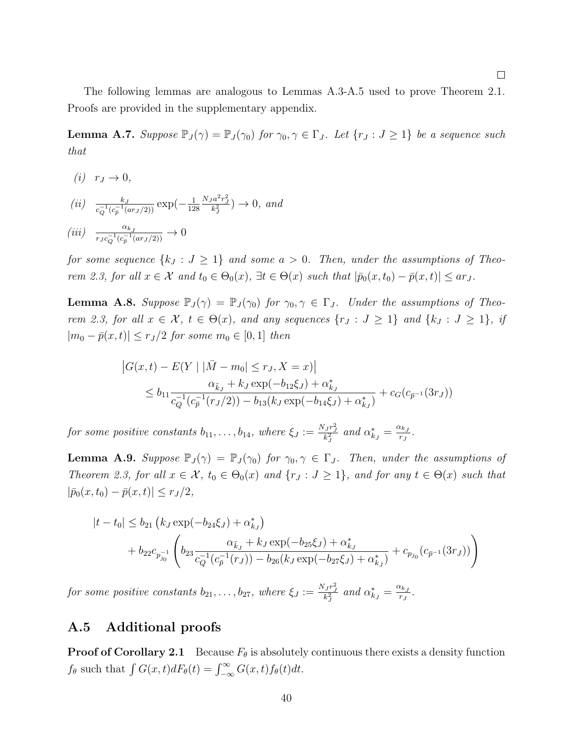The following lemmas are analogous to Lemmas A.3-A.5 used to prove Theorem 2.1. Proofs are provided in the supplementary appendix.

**Lemma A.7.** Suppose  $\mathbb{P}_J(\gamma) = \mathbb{P}_J(\gamma_0)$  for  $\gamma_0, \gamma \in \Gamma_J$ . Let  $\{r_J : J \geq 1\}$  be a sequence such that

 $(i)$   $r_J \rightarrow 0$ ,

$$
(ii) \quad \frac{k_J}{c_Q^{-1}(c_p^{-1}(ar_J/2))} \exp\left(-\frac{1}{128} \frac{N_J a^2 r_J^2}{k_J^2}\right) \to 0, \text{ and}
$$

$$
(iii) \quad \frac{\alpha_{k_J}}{r_J c_Q^{-1} (c_{\bar{p}}^{-1} (ar_J/2))} \to 0
$$

for some sequence  $\{k_J : J \geq 1\}$  and some  $a > 0$ . Then, under the assumptions of Theorem 2.3, for all  $x \in \mathcal{X}$  and  $t_0 \in \Theta_0(x)$ ,  $\exists t \in \Theta(x)$  such that  $|\bar{p}_0(x, t_0) - \bar{p}(x, t)| \leq \alpha r_J$ .

**Lemma A.8.** Suppose  $\mathbb{P}_J(\gamma) = \mathbb{P}_J(\gamma_0)$  for  $\gamma_0, \gamma \in \Gamma_J$ . Under the assumptions of Theorem 2.3, for all  $x \in \mathcal{X}$ ,  $t \in \Theta(x)$ , and any sequences  $\{r_J : J \geq 1\}$  and  $\{k_J : J \geq 1\}$ , if  $|m_0 - \bar{p}(x, t)| \le r_J/2$  for some  $m_0 \in [0, 1]$  then

$$
|G(x,t) - E(Y | |\bar{M} - m_0| \le r_J, X = x)|
$$
  

$$
\le b_{11} \frac{\alpha_{\tilde{k}_J} + k_J \exp(-b_{12}\xi_J) + \alpha_{k_J}^*}{c_Q^{-1}(c_{\bar{p}}^{-1}(r_J/2)) - b_{13}(k_J \exp(-b_{14}\xi_J) + \alpha_{k_J}^*)} + c_G(c_{\bar{p}^{-1}}(3r_J))
$$

for some positive constants  $b_{11}, \ldots, b_{14}$ , where  $\xi_J := \frac{N_J r_J^2}{k_J^2}$  and  $\alpha_{kJ}^* = \frac{\alpha_{kJ}}{r_J}$  $\frac{\kappa_{k,j}}{r_J}$  .

**Lemma A.9.** Suppose  $\mathbb{P}_J(\gamma) = \mathbb{P}_J(\gamma_0)$  for  $\gamma_0, \gamma \in \Gamma_J$ . Then, under the assumptions of Theorem 2.3, for all  $x \in \mathcal{X}$ ,  $t_0 \in \Theta_0(x)$  and  $\{r_J : J \geq 1\}$ , and for any  $t \in \Theta(x)$  such that  $|\bar{p}_0(x, t_0) - \bar{p}(x, t)| \leq r_J/2,$ 

$$
|t - t_0| \le b_{21} (k_J \exp(-b_{24} \xi_J) + \alpha_{k_J}^*)
$$
  
+  $b_{22} c_{p_{j_0}^{-1}} \left( b_{23} \frac{\alpha_{\tilde{k}_J} + k_J \exp(-b_{25} \xi_J) + \alpha_{k_J}^*}{c_Q^{-1} (c_p^{-1}(r_J)) - b_{26} (k_J \exp(-b_{27} \xi_J) + \alpha_{k_J}^*)} + c_{p_{j_0}} (c_{p^{-1}} (3r_J)) \right)$ 

for some positive constants  $b_{21}, \ldots, b_{27}$ , where  $\xi_J := \frac{N_J r_J^2}{k_J^2}$  and  $\alpha_{k_J}^* = \frac{\alpha_{k_J}}{r_J}$  $\frac{\kappa_{k,J}}{r_J}$  .

## A.5 Additional proofs

**Proof of Corollary 2.1** Because  $F_{\theta}$  is absolutely continuous there exists a density function  $f_{\theta}$  such that  $\int G(x, t)dF_{\theta}(t) = \int_{-\infty}^{\infty} G(x, t)f_{\theta}(t)dt$ .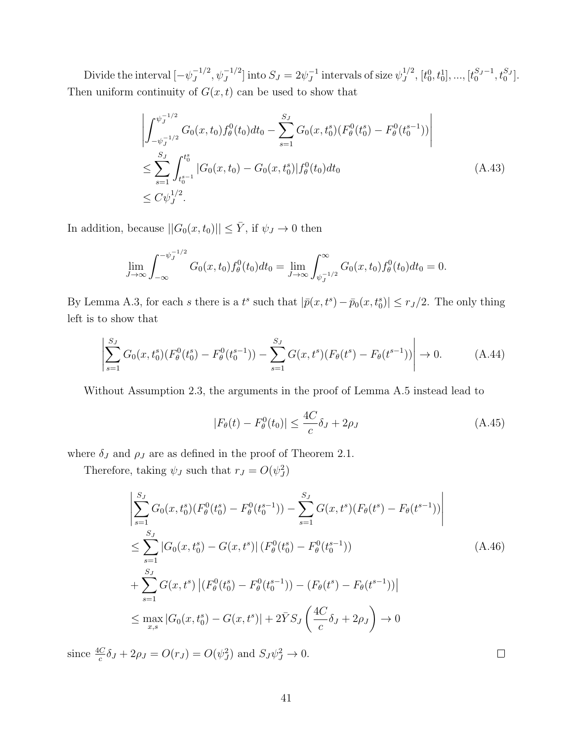Divide the interval  $[-\psi_J^{-1/2}]$  $J_J^{-1/2}, \psi_J^{-1/2}]$  into  $S_J = 2\psi_J^{-1}$  $J^1$  intervals of size  $\psi_J^{1/2}$  $J^{1/2}, [t_0^0, t_0^1], ..., [t_0^{S_J-1}, t_0^{S_J}].$ Then uniform continuity of  $G(x, t)$  can be used to show that

$$
\left| \int_{-\psi_J^{-1/2}}^{\psi_J^{-1/2}} G_0(x, t_0) f_\theta^0(t_0) dt_0 - \sum_{s=1}^{S_J} G_0(x, t_0^s) (F_\theta^0(t_0^s) - F_\theta^0(t_0^{s-1})) \right|
$$
  
\n
$$
\leq \sum_{s=1}^{S_J} \int_{t_0^{s-1}}^{t_0^s} |G_0(x, t_0) - G_0(x, t_0^s)| f_\theta^0(t_0) dt_0
$$
  
\n
$$
\leq C \psi_J^{1/2}.
$$
\n(A.43)

In addition, because  $||G_0(x, t_0)|| \leq \overline{Y}$ , if  $\psi_J \to 0$  then

$$
\lim_{J \to \infty} \int_{-\infty}^{-\psi_J^{-1/2}} G_0(x, t_0) f_{\theta}^0(t_0) dt_0 = \lim_{J \to \infty} \int_{\psi_J^{-1/2}}^{\infty} G_0(x, t_0) f_{\theta}^0(t_0) dt_0 = 0.
$$

By Lemma A.3, for each s there is a  $t^s$  such that  $|\bar{p}(x, t^s) - \bar{p}_0(x, t_0^s)| \leq r_J/2$ . The only thing left is to show that

$$
\left| \sum_{s=1}^{S_J} G_0(x, t_0^s) (F_\theta^0(t_0^s) - F_\theta^0(t_0^{s-1})) - \sum_{s=1}^{S_J} G(x, t^s) (F_\theta(t^s) - F_\theta(t^{s-1})) \right| \to 0. \tag{A.44}
$$

Without Assumption 2.3, the arguments in the proof of Lemma A.5 instead lead to

$$
|F_{\theta}(t) - F_{\theta}^{0}(t_{0})| \le \frac{4C}{c} \delta_{J} + 2\rho_{J}
$$
 (A.45)

where  $\delta_J$  and  $\rho_J$  are as defined in the proof of Theorem 2.1.

Therefore, taking  $\psi_J$  such that  $r_J = O(\psi_J^2)$ 

$$
\left| \sum_{s=1}^{S_J} G_0(x, t_0^s) (F_\theta^0(t_0^s) - F_\theta^0(t_0^{s-1})) - \sum_{s=1}^{S_J} G(x, t^s) (F_\theta(t^s) - F_\theta(t^{s-1})) \right|
$$
\n
$$
\leq \sum_{s=1}^{S_J} |G_0(x, t_0^s) - G(x, t^s)| (F_\theta^0(t_0^s) - F_\theta^0(t_0^{s-1}))
$$
\n
$$
+ \sum_{s=1}^{S_J} G(x, t^s) | (F_\theta^0(t_0^s) - F_\theta^0(t_0^{s-1})) - (F_\theta(t^s) - F_\theta(t^{s-1}))|
$$
\n
$$
\leq \max_{x, s} |G_0(x, t_0^s) - G(x, t^s)| + 2\bar{Y}S_J \left( \frac{4C}{c} \delta_J + 2\rho_J \right) \to 0
$$
\n(4.46)

since  $\frac{4C}{c}\delta_J + 2\rho_J = O(r_J) = O(\psi_J^2)$  and  $S_J\psi_J^2 \to 0$ .

 $\Box$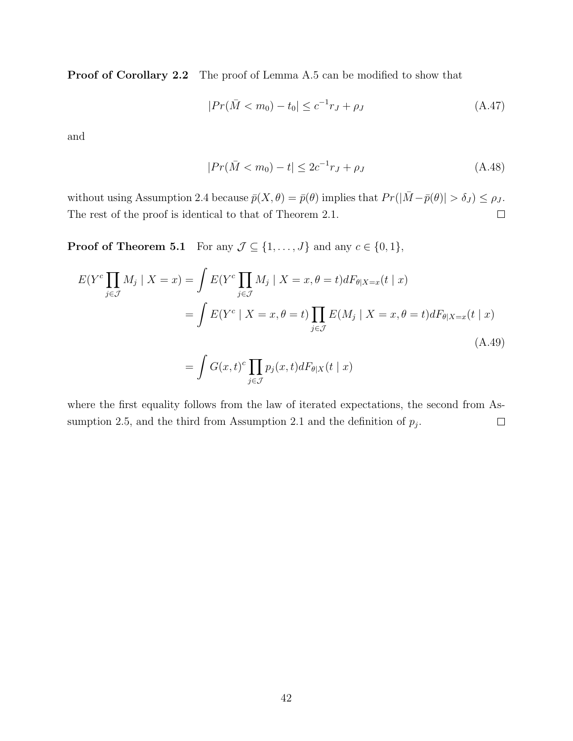Proof of Corollary 2.2 The proof of Lemma A.5 can be modified to show that

$$
|Pr(\bar{M} < m_0) - t_0| \le c^{-1}r_J + \rho_J \tag{A.47}
$$

and

$$
|Pr(\bar{M} < m_0) - t| \le 2c^{-1}r_J + \rho_J \tag{A.48}
$$

without using Assumption 2.4 because  $\bar{p}(X, \theta) = \bar{p}(\theta)$  implies that  $Pr(|\bar{M} - \bar{p}(\theta)| > \delta_J) \le \rho_J$ . The rest of the proof is identical to that of Theorem 2.1.  $\Box$ 

**Proof of Theorem 5.1** For any  $\mathcal{J} \subseteq \{1, \ldots, J\}$  and any  $c \in \{0, 1\}$ ,

$$
E(Y^{c} \prod_{j \in \mathcal{J}} M_{j} | X = x) = \int E(Y^{c} \prod_{j \in \mathcal{J}} M_{j} | X = x, \theta = t) dF_{\theta|X=x}(t | x)
$$
  
= 
$$
\int E(Y^{c} | X = x, \theta = t) \prod_{j \in \mathcal{J}} E(M_{j} | X = x, \theta = t) dF_{\theta|X=x}(t | x)
$$
  
= 
$$
\int G(x, t)^{c} \prod_{j \in \mathcal{J}} p_{j}(x, t) dF_{\theta|X}(t | x)
$$
 (A.49)

where the first equality follows from the law of iterated expectations, the second from Assumption 2.5, and the third from Assumption 2.1 and the definition of  $p_j$ .  $\Box$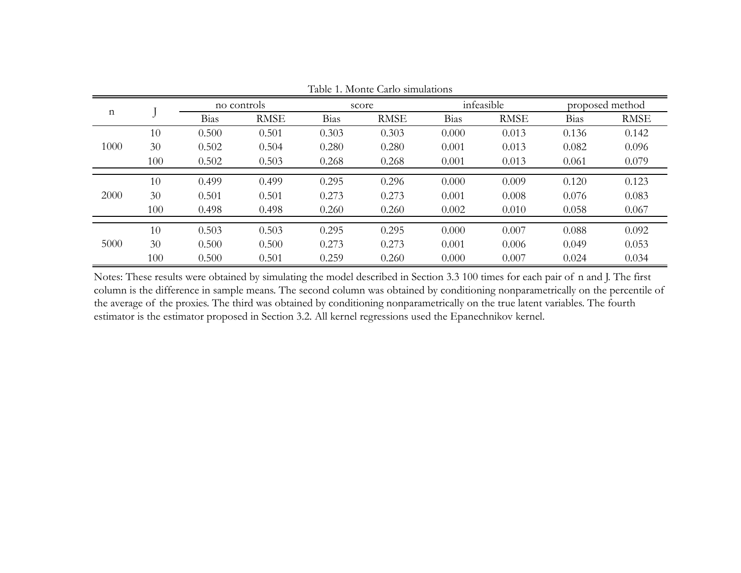| n    |     | no controls |             | score       |             | infeasible  |             | proposed method |             |
|------|-----|-------------|-------------|-------------|-------------|-------------|-------------|-----------------|-------------|
|      |     | Bias        | <b>RMSE</b> | <b>Bias</b> | <b>RMSE</b> | <b>Bias</b> | <b>RMSE</b> | Bias            | <b>RMSE</b> |
| 1000 | 10  | 0.500       | 0.501       | 0.303       | 0.303       | 0.000       | 0.013       | 0.136           | 0.142       |
|      | 30  | 0.502       | 0.504       | 0.280       | 0.280       | 0.001       | 0.013       | 0.082           | 0.096       |
|      | 100 | 0.502       | 0.503       | 0.268       | 0.268       | 0.001       | 0.013       | 0.061           | 0.079       |
|      |     |             |             |             |             |             |             |                 |             |
| 2000 | 10  | 0.499       | 0.499       | 0.295       | 0.296       | 0.000       | 0.009       | 0.120           | 0.123       |
|      | 30  | 0.501       | 0.501       | 0.273       | 0.273       | 0.001       | 0.008       | 0.076           | 0.083       |
|      | 100 | 0.498       | 0.498       | 0.260       | 0.260       | 0.002       | 0.010       | 0.058           | 0.067       |
|      |     |             |             |             |             |             |             |                 |             |
| 5000 | 10  | 0.503       | 0.503       | 0.295       | 0.295       | 0.000       | 0.007       | 0.088           | 0.092       |
|      | 30  | 0.500       | 0.500       | 0.273       | 0.273       | 0.001       | 0.006       | 0.049           | 0.053       |
|      | 100 | 0.500       | 0.501       | 0.259       | 0.260       | 0.000       | 0.007       | 0.024           | 0.034       |

Table 1. Monte Carlo simulations

Notes: These results were obtained by simulating the model described in Section 3.3 100 times for each pair of n and J. The first column is the difference in sample means. The second column was obtained by conditioning nonparametrically on the percentile of the average of the proxies. The third was obtained by conditioning nonparametrically on the true latent variables. The fourth estimator is the estimator proposed in Section 3.2. All kernel regressions used the Epanechnikov kernel.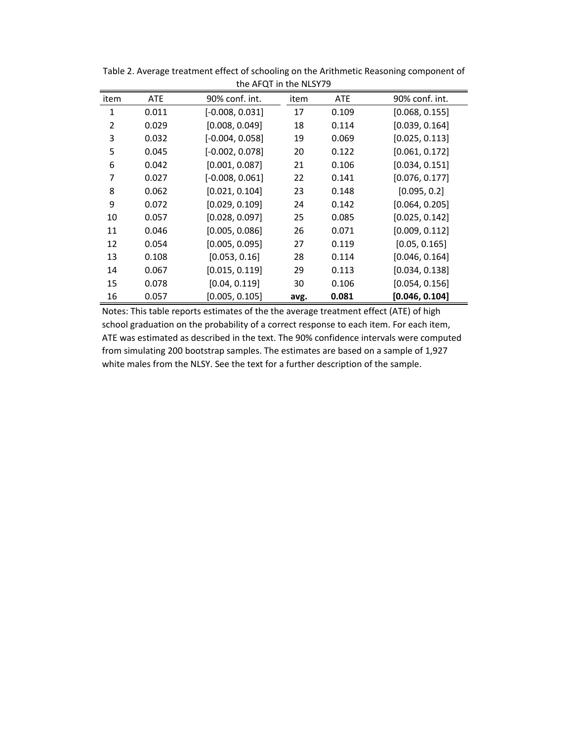|      |       | T                 |      |       |                |
|------|-------|-------------------|------|-------|----------------|
| item | ATE   | 90% conf. int.    | item | ATE   | 90% conf. int. |
| 1    | 0.011 | $[-0.008, 0.031]$ | 17   | 0.109 | [0.068, 0.155] |
| 2    | 0.029 | [0.008, 0.049]    | 18   | 0.114 | [0.039, 0.164] |
| 3    | 0.032 | $[-0.004, 0.058]$ | 19   | 0.069 | [0.025, 0.113] |
| 5    | 0.045 | $[-0.002, 0.078]$ | 20   | 0.122 | [0.061, 0.172] |
| 6    | 0.042 | [0.001, 0.087]    | 21   | 0.106 | [0.034, 0.151] |
| 7    | 0.027 | $[-0.008, 0.061]$ | 22   | 0.141 | [0.076, 0.177] |
| 8    | 0.062 | [0.021, 0.104]    | 23   | 0.148 | [0.095, 0.2]   |
| 9    | 0.072 | [0.029, 0.109]    | 24   | 0.142 | [0.064, 0.205] |
| 10   | 0.057 | [0.028, 0.097]    | 25   | 0.085 | [0.025, 0.142] |
| 11   | 0.046 | [0.005, 0.086]    | 26   | 0.071 | [0.009, 0.112] |
| 12   | 0.054 | [0.005, 0.095]    | 27   | 0.119 | [0.05, 0.165]  |
| 13   | 0.108 | [0.053, 0.16]     | 28   | 0.114 | [0.046, 0.164] |
| 14   | 0.067 | [0.015, 0.119]    | 29   | 0.113 | [0.034, 0.138] |
| 15   | 0.078 | [0.04, 0.119]     | 30   | 0.106 | [0.054, 0.156] |
| 16   | 0.057 | [0.005, 0.105]    | avg. | 0.081 | [0.046, 0.104] |

Table 2. Average treatment effect of schooling on the Arithmetic Reasoning component of the AFOT in the NLSY79

Notes: This table reports estimates of the the average treatment effect (ATE) of high school graduation on the probability of a correct response to each item. For each item, ATE was estimated as described in the text. The 90% confidence intervals were computed from simulating 200 bootstrap samples. The estimates are based on a sample of 1,927 white males from the NLSY. See the text for a further description of the sample.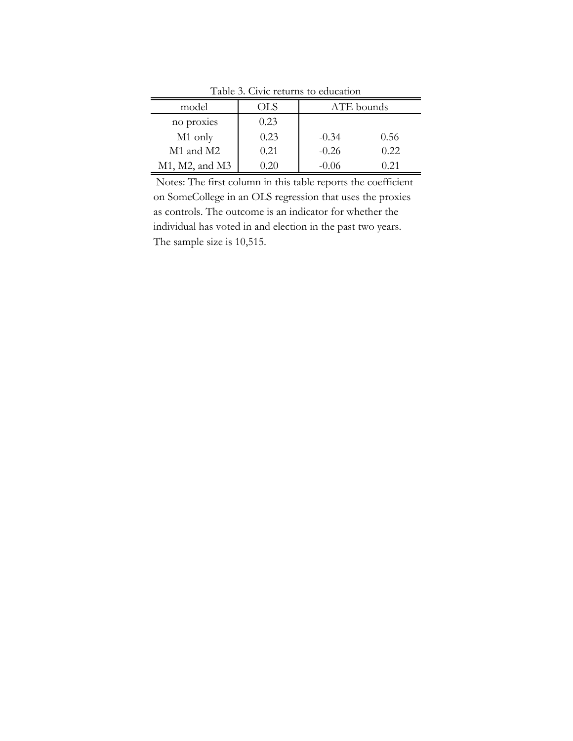| model          | ЛS   | ATE bounds |       |  |
|----------------|------|------------|-------|--|
| no proxies     | 0.23 |            |       |  |
| M1 only        | 0.23 | $-0.34$    | 0.56  |  |
| M1 and M2      | 0.21 | $-0.26$    | 0.22  |  |
| M1, M2, and M3 |      | -0.06      | (171) |  |

Table 3. Civic returns to education

 Notes: The first column in this table reports the coefficient on SomeCollege in an OLS regression that uses the proxies as controls. The outcome is an indicator for whether the individual has voted in and election in the past two years. The sample size is 10,515.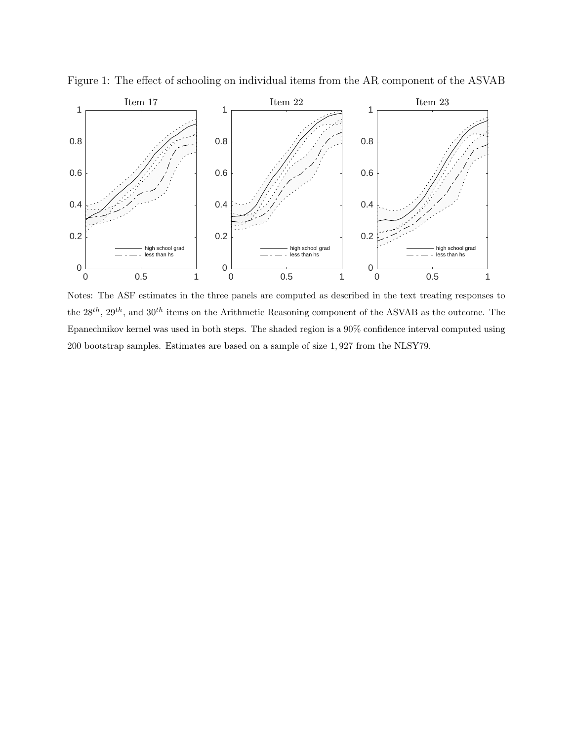

Figure 1: The effect of schooling on individual items from the AR component of the ASVAB

Notes: The ASF estimates in the three panels are computed as described in the text treating responses to the  $28^{th}$ ,  $29^{th}$ , and  $30^{th}$  items on the Arithmetic Reasoning component of the ASVAB as the outcome. The Epanechnikov kernel was used in both steps. The shaded region is a 90% confidence interval computed using 200 bootstrap samples. Estimates are based on a sample of size 1, 927 from the NLSY79.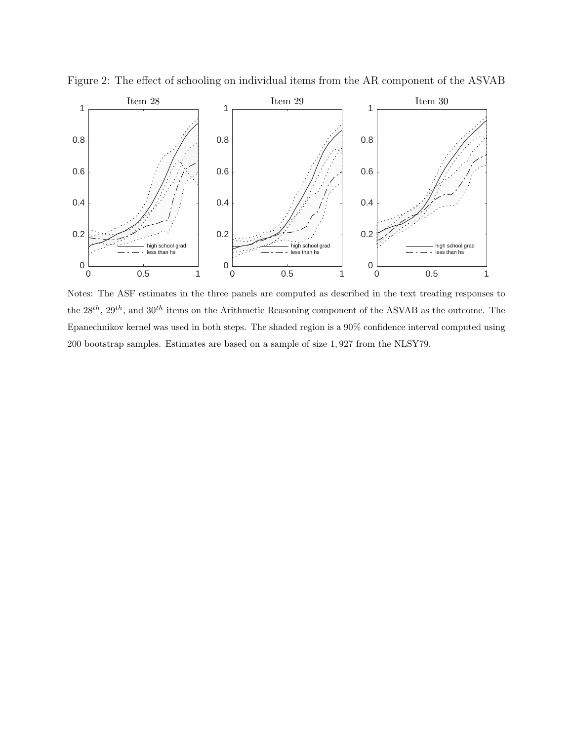

Figure 2: The effect of schooling on individual items from the AR component of the ASVAB

Notes: The ASF estimates in the three panels are computed as described in the text treating responses to the  $28^{th}$ ,  $29^{th}$ , and  $30^{th}$  items on the Arithmetic Reasoning component of the ASVAB as the outcome. The Epanechnikov kernel was used in both steps. The shaded region is a 90% confidence interval computed using 200 bootstrap samples. Estimates are based on a sample of size 1, 927 from the NLSY79.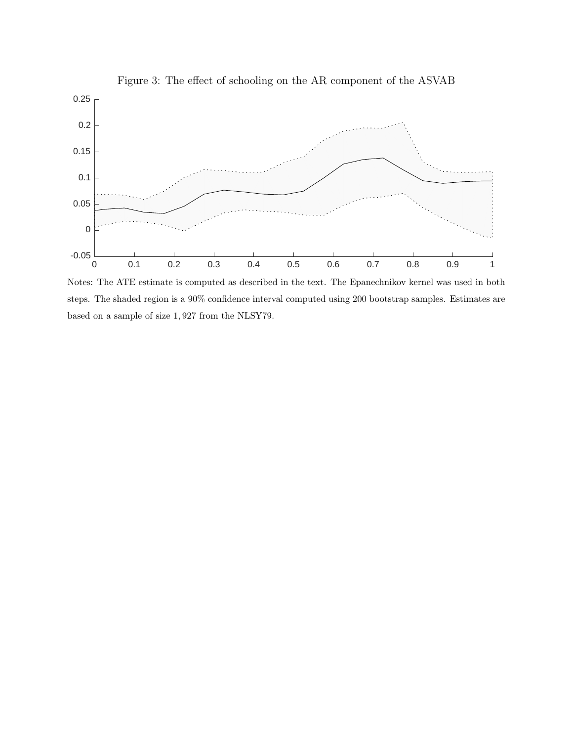

Notes: The ATE estimate is computed as described in the text. The Epanechnikov kernel was used in both steps. The shaded region is a 90% confidence interval computed using 200 bootstrap samples. Estimates are based on a sample of size 1, 927 from the NLSY79.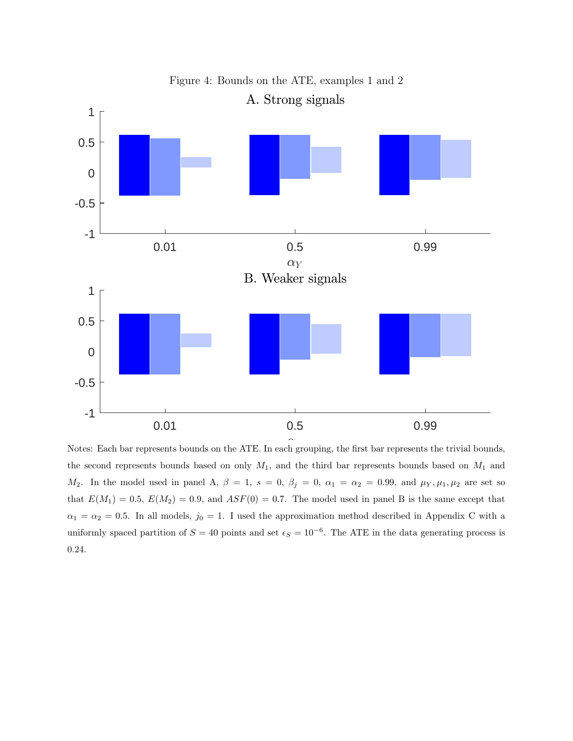

the second represents bounds based on only  $M_1$ , and the third bar represents bounds based on  $M_1$  and  $M_2$ . In the model used in panel A,  $\beta = 1$ ,  $s = 0$ ,  $\beta_j = 0$ ,  $\alpha_1 = \alpha_2 = 0.99$ , and  $\mu_Y, \mu_1, \mu_2$  are set so that  $E(M_1) = 0.5$ ,  $E(M_2) = 0.9$ , and  $ASF(0) = 0.7$ . The model used in panel B is the same except that  $\alpha_1 = \alpha_2 = 0.5$ . In all models,  $j_0 = 1$ . I used the approximation method described in Appendix C with a uniformly spaced partition of  $S = 40$  points and set  $\epsilon_S = 10^{-6}$ . The ATE in the data generating process is 0.24.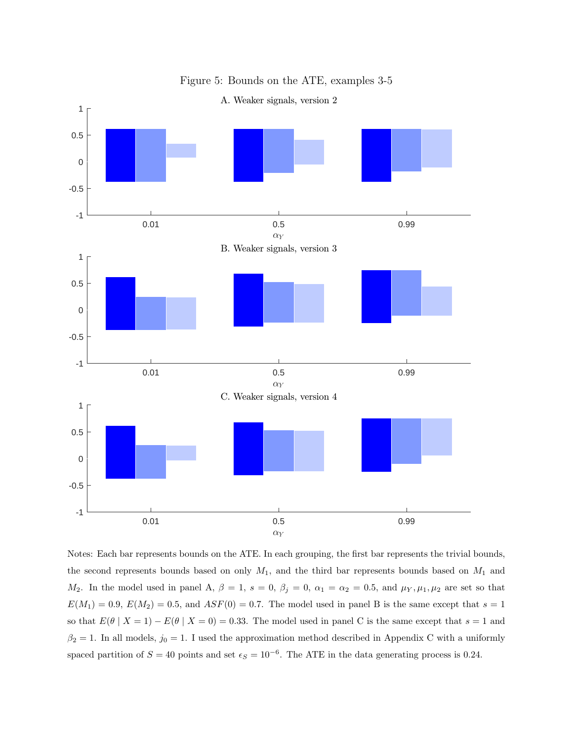

Figure 5: Bounds on the ATE, examples 3-5

A. Weaker signals, version 2

Notes: Each bar represents bounds on the ATE. In each grouping, the first bar represents the trivial bounds, the second represents bounds based on only  $M_1$ , and the third bar represents bounds based on  $M_1$  and  $M_2$ . In the model used in panel A,  $\beta = 1$ ,  $s = 0$ ,  $\beta_j = 0$ ,  $\alpha_1 = \alpha_2 = 0.5$ , and  $\mu_Y, \mu_1, \mu_2$  are set so that  $E(M_1) = 0.9, E(M_2) = 0.5,$  and  $ASF(0) = 0.7$ . The model used in panel B is the same except that  $s = 1$ so that  $E(\theta | X = 1) - E(\theta | X = 0) = 0.33$ . The model used in panel C is the same except that  $s = 1$  and  $\beta_2 = 1$ . In all models,  $j_0 = 1$ . I used the approximation method described in Appendix C with a uniformly spaced partition of  $S = 40$  points and set  $\epsilon_S = 10^{-6}$ . The ATE in the data generating process is 0.24.